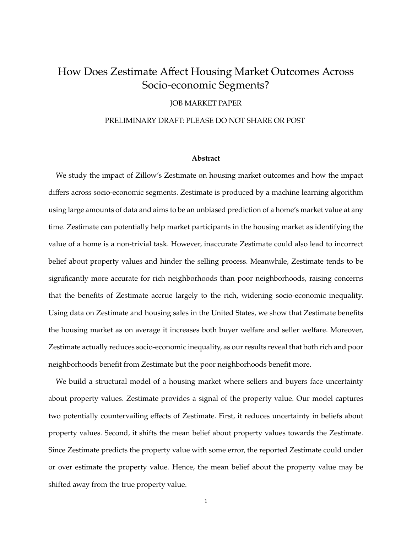# How Does Zestimate Affect Housing Market Outcomes Across Socio-economic Segments?

## JOB MARKET PAPER

## PRELIMINARY DRAFT: PLEASE DO NOT SHARE OR POST

#### **Abstract**

We study the impact of Zillow's Zestimate on housing market outcomes and how the impact differs across socio-economic segments. Zestimate is produced by a machine learning algorithm using large amounts of data and aims to be an unbiased prediction of a home's market value at any time. Zestimate can potentially help market participants in the housing market as identifying the value of a home is a non-trivial task. However, inaccurate Zestimate could also lead to incorrect belief about property values and hinder the selling process. Meanwhile, Zestimate tends to be significantly more accurate for rich neighborhoods than poor neighborhoods, raising concerns that the benefits of Zestimate accrue largely to the rich, widening socio-economic inequality. Using data on Zestimate and housing sales in the United States, we show that Zestimate benefits the housing market as on average it increases both buyer welfare and seller welfare. Moreover, Zestimate actually reduces socio-economic inequality, as our results reveal that both rich and poor neighborhoods benefit from Zestimate but the poor neighborhoods benefit more.

We build a structural model of a housing market where sellers and buyers face uncertainty about property values. Zestimate provides a signal of the property value. Our model captures two potentially countervailing effects of Zestimate. First, it reduces uncertainty in beliefs about property values. Second, it shifts the mean belief about property values towards the Zestimate. Since Zestimate predicts the property value with some error, the reported Zestimate could under or over estimate the property value. Hence, the mean belief about the property value may be shifted away from the true property value.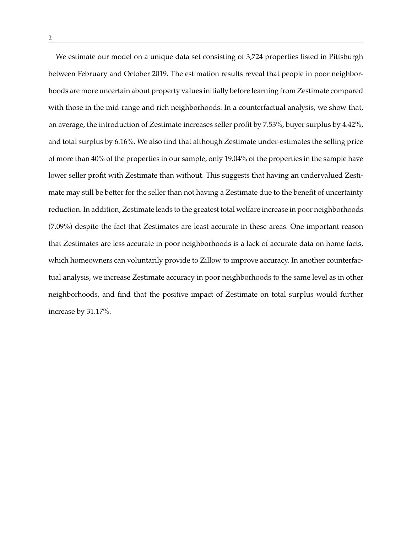We estimate our model on a unique data set consisting of 3,724 properties listed in Pittsburgh between February and October 2019. The estimation results reveal that people in poor neighborhoods are more uncertain about property values initially before learning from Zestimate compared with those in the mid-range and rich neighborhoods. In a counterfactual analysis, we show that, on average, the introduction of Zestimate increases seller profit by 7.53%, buyer surplus by 4.42%, and total surplus by 6.16%. We also find that although Zestimate under-estimates the selling price of more than 40% of the properties in our sample, only 19.04% of the properties in the sample have lower seller profit with Zestimate than without. This suggests that having an undervalued Zestimate may still be better for the seller than not having a Zestimate due to the benefit of uncertainty reduction. In addition, Zestimate leads to the greatest total welfare increase in poor neighborhoods (7.09%) despite the fact that Zestimates are least accurate in these areas. One important reason that Zestimates are less accurate in poor neighborhoods is a lack of accurate data on home facts, which homeowners can voluntarily provide to Zillow to improve accuracy. In another counterfactual analysis, we increase Zestimate accuracy in poor neighborhoods to the same level as in other neighborhoods, and find that the positive impact of Zestimate on total surplus would further increase by 31.17%.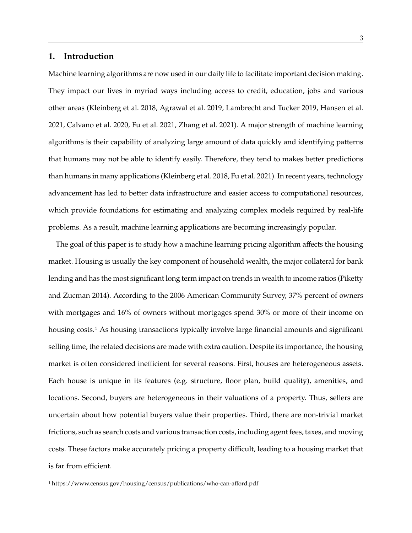# **1. Introduction**

Machine learning algorithms are now used in our daily life to facilitate important decision making. They impact our lives in myriad ways including access to credit, education, jobs and various other areas (Kleinberg et al. 2018, Agrawal et al. 2019, Lambrecht and Tucker 2019, Hansen et al. 2021, Calvano et al. 2020, Fu et al. 2021, Zhang et al. 2021). A major strength of machine learning algorithms is their capability of analyzing large amount of data quickly and identifying patterns that humans may not be able to identify easily. Therefore, they tend to makes better predictions than humans in many applications (Kleinberg et al. 2018, Fu et al. 2021). In recent years, technology advancement has led to better data infrastructure and easier access to computational resources, which provide foundations for estimating and analyzing complex models required by real-life problems. As a result, machine learning applications are becoming increasingly popular.

The goal of this paper is to study how a machine learning pricing algorithm affects the housing market. Housing is usually the key component of household wealth, the major collateral for bank lending and has the most significant long term impact on trends in wealth to income ratios (Piketty and Zucman 2014). According to the 2006 American Community Survey, 37% percent of owners with mortgages and 16% of owners without mortgages spend 30% or more of their income on housing costs.1 As housing transactions typically involve large financial amounts and significant selling time, the related decisions are made with extra caution. Despite its importance, the housing market is often considered inefficient for several reasons. First, houses are heterogeneous assets. Each house is unique in its features (e.g. structure, floor plan, build quality), amenities, and locations. Second, buyers are heterogeneous in their valuations of a property. Thus, sellers are uncertain about how potential buyers value their properties. Third, there are non-trivial market frictions, such as search costs and various transaction costs, including agent fees, taxes, and moving costs. These factors make accurately pricing a property difficult, leading to a housing market that is far from efficient.

1 https://www.census.gov/housing/census/publications/who-can-afford.pdf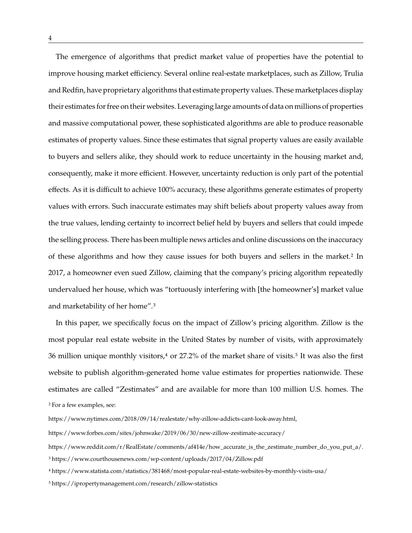The emergence of algorithms that predict market value of properties have the potential to improve housing market efficiency. Several online real-estate marketplaces, such as Zillow, Trulia and Redfin, have proprietary algorithms that estimate property values. These marketplaces display their estimates for free on their websites. Leveraging large amounts of data on millions of properties and massive computational power, these sophisticated algorithms are able to produce reasonable estimates of property values. Since these estimates that signal property values are easily available to buyers and sellers alike, they should work to reduce uncertainty in the housing market and, consequently, make it more efficient. However, uncertainty reduction is only part of the potential effects. As it is difficult to achieve 100% accuracy, these algorithms generate estimates of property values with errors. Such inaccurate estimates may shift beliefs about property values away from the true values, lending certainty to incorrect belief held by buyers and sellers that could impede the selling process. There has been multiple news articles and online discussions on the inaccuracy of these algorithms and how they cause issues for both buyers and sellers in the market.2 In 2017, a homeowner even sued Zillow, claiming that the company's pricing algorithm repeatedly undervalued her house, which was "tortuously interfering with [the homeowner's] market value and marketability of her home".3

In this paper, we specifically focus on the impact of Zillow's pricing algorithm. Zillow is the most popular real estate website in the United States by number of visits, with approximately 36 million unique monthly visitors, $4$  or 27.2% of the market share of visits.<sup>5</sup> It was also the first website to publish algorithm-generated home value estimates for properties nationwide. These estimates are called "Zestimates" and are available for more than 100 million U.S. homes. The 2 For a few examples, see:

5 https://ipropertymanagement.com/research/zillow-statistics

https://www.nytimes.com/2018/09/14/realestate/why-zillow-addicts-cant-look-away.html,

https://www.forbes.com/sites/johnwake/2019/06/30/new-zillow-zestimate-accuracy/

https://www.reddit.com/r/RealEstate/comments/af414e/how\_accurate\_is\_the\_zestimate\_number\_do\_you\_put\_a/.

<sup>3</sup> https://www.courthousenews.com/wp-content/uploads/2017/04/Zillow.pdf

<sup>4</sup> https://www.statista.com/statistics/381468/most-popular-real-estate-websites-by-monthly-visits-usa/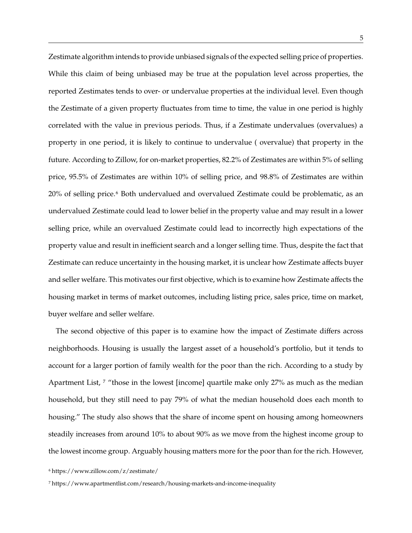Zestimate algorithm intends to provide unbiased signals of the expected selling price of properties. While this claim of being unbiased may be true at the population level across properties, the reported Zestimates tends to over- or undervalue properties at the individual level. Even though the Zestimate of a given property fluctuates from time to time, the value in one period is highly correlated with the value in previous periods. Thus, if a Zestimate undervalues (overvalues) a property in one period, it is likely to continue to undervalue ( overvalue) that property in the future. According to Zillow, for on-market properties, 82.2% of Zestimates are within 5% of selling price, 95.5% of Zestimates are within 10% of selling price, and 98.8% of Zestimates are within 20% of selling price.6 Both undervalued and overvalued Zestimate could be problematic, as an undervalued Zestimate could lead to lower belief in the property value and may result in a lower selling price, while an overvalued Zestimate could lead to incorrectly high expectations of the property value and result in inefficient search and a longer selling time. Thus, despite the fact that Zestimate can reduce uncertainty in the housing market, it is unclear how Zestimate affects buyer and seller welfare. This motivates our first objective, which is to examine how Zestimate affects the housing market in terms of market outcomes, including listing price, sales price, time on market, buyer welfare and seller welfare.

The second objective of this paper is to examine how the impact of Zestimate differs across neighborhoods. Housing is usually the largest asset of a household's portfolio, but it tends to account for a larger portion of family wealth for the poor than the rich. According to a study by Apartment List, <sup>7</sup> "those in the lowest [income] quartile make only 27% as much as the median household, but they still need to pay 79% of what the median household does each month to housing." The study also shows that the share of income spent on housing among homeowners steadily increases from around 10% to about 90% as we move from the highest income group to the lowest income group. Arguably housing matters more for the poor than for the rich. However,

6 https://www.zillow.com/z/zestimate/

7 https://www.apartmentlist.com/research/housing-markets-and-income-inequality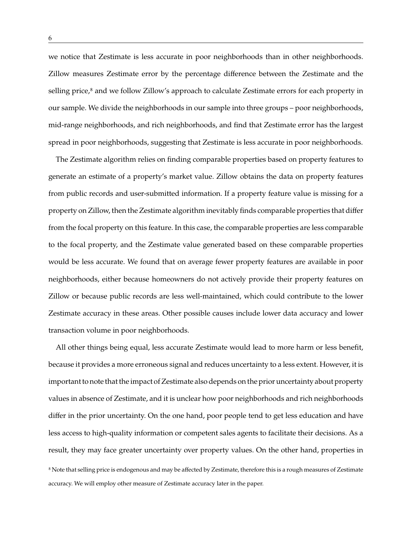we notice that Zestimate is less accurate in poor neighborhoods than in other neighborhoods. Zillow measures Zestimate error by the percentage difference between the Zestimate and the selling price,<sup>8</sup> and we follow Zillow's approach to calculate Zestimate errors for each property in our sample. We divide the neighborhoods in our sample into three groups – poor neighborhoods, mid-range neighborhoods, and rich neighborhoods, and find that Zestimate error has the largest spread in poor neighborhoods, suggesting that Zestimate is less accurate in poor neighborhoods.

The Zestimate algorithm relies on finding comparable properties based on property features to generate an estimate of a property's market value. Zillow obtains the data on property features from public records and user-submitted information. If a property feature value is missing for a property on Zillow, then the Zestimate algorithm inevitably finds comparable properties that differ from the focal property on this feature. In this case, the comparable properties are less comparable to the focal property, and the Zestimate value generated based on these comparable properties would be less accurate. We found that on average fewer property features are available in poor neighborhoods, either because homeowners do not actively provide their property features on Zillow or because public records are less well-maintained, which could contribute to the lower Zestimate accuracy in these areas. Other possible causes include lower data accuracy and lower transaction volume in poor neighborhoods.

All other things being equal, less accurate Zestimate would lead to more harm or less benefit, because it provides a more erroneous signal and reduces uncertainty to a less extent. However, it is important to note that the impact of Zestimate also depends on the prior uncertainty about property values in absence of Zestimate, and it is unclear how poor neighborhoods and rich neighborhoods differ in the prior uncertainty. On the one hand, poor people tend to get less education and have less access to high-quality information or competent sales agents to facilitate their decisions. As a result, they may face greater uncertainty over property values. On the other hand, properties in 8 Note that selling price is endogenous and may be affected by Zestimate, therefore this is a rough measures of Zestimate accuracy. We will employ other measure of Zestimate accuracy later in the paper.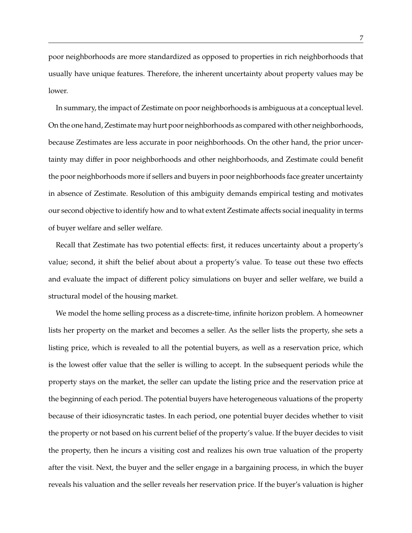poor neighborhoods are more standardized as opposed to properties in rich neighborhoods that usually have unique features. Therefore, the inherent uncertainty about property values may be lower.

In summary, the impact of Zestimate on poor neighborhoods is ambiguous at a conceptual level. On the one hand, Zestimate may hurt poor neighborhoods as compared with other neighborhoods, because Zestimates are less accurate in poor neighborhoods. On the other hand, the prior uncertainty may differ in poor neighborhoods and other neighborhoods, and Zestimate could benefit the poor neighborhoods more if sellers and buyers in poor neighborhoods face greater uncertainty in absence of Zestimate. Resolution of this ambiguity demands empirical testing and motivates our second objective to identify how and to what extent Zestimate affects social inequality in terms of buyer welfare and seller welfare.

Recall that Zestimate has two potential effects: first, it reduces uncertainty about a property's value; second, it shift the belief about about a property's value. To tease out these two effects and evaluate the impact of different policy simulations on buyer and seller welfare, we build a structural model of the housing market.

We model the home selling process as a discrete-time, infinite horizon problem. A homeowner lists her property on the market and becomes a seller. As the seller lists the property, she sets a listing price, which is revealed to all the potential buyers, as well as a reservation price, which is the lowest offer value that the seller is willing to accept. In the subsequent periods while the property stays on the market, the seller can update the listing price and the reservation price at the beginning of each period. The potential buyers have heterogeneous valuations of the property because of their idiosyncratic tastes. In each period, one potential buyer decides whether to visit the property or not based on his current belief of the property's value. If the buyer decides to visit the property, then he incurs a visiting cost and realizes his own true valuation of the property after the visit. Next, the buyer and the seller engage in a bargaining process, in which the buyer reveals his valuation and the seller reveals her reservation price. If the buyer's valuation is higher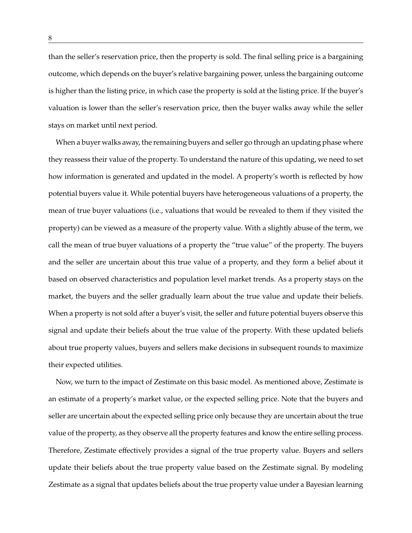than the seller's reservation price, then the property is sold. The final selling price is a bargaining outcome, which depends on the buyer's relative bargaining power, unless the bargaining outcome is higher than the listing price, in which case the property is sold at the listing price. If the buyer's valuation is lower than the seller's reservation price, then the buyer walks away while the seller stays on market until next period.

When a buyer walks away, the remaining buyers and seller go through an updating phase where they reassess their value of the property. To understand the nature of this updating, we need to set how information is generated and updated in the model. A property's worth is reflected by how potential buyers value it. While potential buyers have heterogeneous valuations of a property, the mean of true buyer valuations (i.e., valuations that would be revealed to them if they visited the property) can be viewed as a measure of the property value. With a slightly abuse of the term, we call the mean of true buyer valuations of a property the "true value" of the property. The buyers and the seller are uncertain about this true value of a property, and they form a belief about it based on observed characteristics and population level market trends. As a property stays on the market, the buyers and the seller gradually learn about the true value and update their beliefs. When a property is not sold after a buyer's visit, the seller and future potential buyers observe this signal and update their beliefs about the true value of the property. With these updated beliefs about true property values, buyers and sellers make decisions in subsequent rounds to maximize their expected utilities.

Now, we turn to the impact of Zestimate on this basic model. As mentioned above, Zestimate is an estimate of a property's market value, or the expected selling price. Note that the buyers and seller are uncertain about the expected selling price only because they are uncertain about the true value of the property, as they observe all the property features and know the entire selling process. Therefore, Zestimate effectively provides a signal of the true property value. Buyers and sellers update their beliefs about the true property value based on the Zestimate signal. By modeling Zestimate as a signal that updates beliefs about the true property value under a Bayesian learning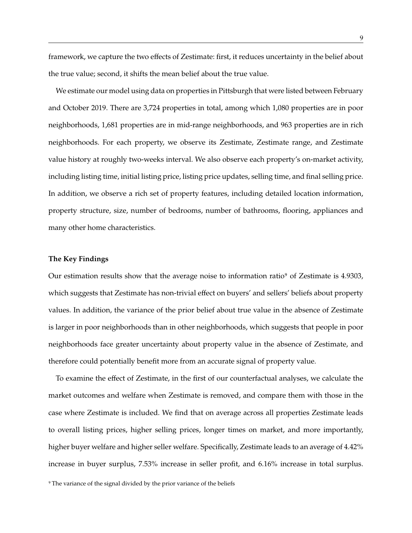framework, we capture the two effects of Zestimate: first, it reduces uncertainty in the belief about the true value; second, it shifts the mean belief about the true value.

We estimate our model using data on properties in Pittsburgh that were listed between February and October 2019. There are 3,724 properties in total, among which 1,080 properties are in poor neighborhoods, 1,681 properties are in mid-range neighborhoods, and 963 properties are in rich neighborhoods. For each property, we observe its Zestimate, Zestimate range, and Zestimate value history at roughly two-weeks interval. We also observe each property's on-market activity, including listing time, initial listing price, listing price updates, selling time, and final selling price. In addition, we observe a rich set of property features, including detailed location information, property structure, size, number of bedrooms, number of bathrooms, flooring, appliances and many other home characteristics.

## **The Key Findings**

Our estimation results show that the average noise to information ratio9 of Zestimate is 4.9303, which suggests that Zestimate has non-trivial effect on buyers' and sellers' beliefs about property values. In addition, the variance of the prior belief about true value in the absence of Zestimate is larger in poor neighborhoods than in other neighborhoods, which suggests that people in poor neighborhoods face greater uncertainty about property value in the absence of Zestimate, and therefore could potentially benefit more from an accurate signal of property value.

To examine the effect of Zestimate, in the first of our counterfactual analyses, we calculate the market outcomes and welfare when Zestimate is removed, and compare them with those in the case where Zestimate is included. We find that on average across all properties Zestimate leads to overall listing prices, higher selling prices, longer times on market, and more importantly, higher buyer welfare and higher seller welfare. Specifically, Zestimate leads to an average of 4.42% increase in buyer surplus, 7.53% increase in seller profit, and 6.16% increase in total surplus.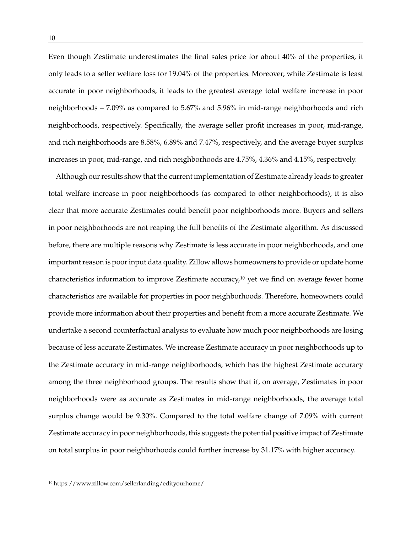Even though Zestimate underestimates the final sales price for about 40% of the properties, it only leads to a seller welfare loss for 19.04% of the properties. Moreover, while Zestimate is least accurate in poor neighborhoods, it leads to the greatest average total welfare increase in poor neighborhoods – 7.09% as compared to 5.67% and 5.96% in mid-range neighborhoods and rich neighborhoods, respectively. Specifically, the average seller profit increases in poor, mid-range, and rich neighborhoods are 8.58%, 6.89% and 7.47%, respectively, and the average buyer surplus increases in poor, mid-range, and rich neighborhoods are 4.75%, 4.36% and 4.15%, respectively.

Although our results show that the current implementation of Zestimate already leads to greater total welfare increase in poor neighborhoods (as compared to other neighborhoods), it is also clear that more accurate Zestimates could benefit poor neighborhoods more. Buyers and sellers in poor neighborhoods are not reaping the full benefits of the Zestimate algorithm. As discussed before, there are multiple reasons why Zestimate is less accurate in poor neighborhoods, and one important reason is poor input data quality. Zillow allows homeowners to provide or update home characteristics information to improve Zestimate accuracy,<sup>10</sup> yet we find on average fewer home characteristics are available for properties in poor neighborhoods. Therefore, homeowners could provide more information about their properties and benefit from a more accurate Zestimate. We undertake a second counterfactual analysis to evaluate how much poor neighborhoods are losing because of less accurate Zestimates. We increase Zestimate accuracy in poor neighborhoods up to the Zestimate accuracy in mid-range neighborhoods, which has the highest Zestimate accuracy among the three neighborhood groups. The results show that if, on average, Zestimates in poor neighborhoods were as accurate as Zestimates in mid-range neighborhoods, the average total surplus change would be 9.30%. Compared to the total welfare change of 7.09% with current Zestimate accuracy in poor neighborhoods, this suggests the potential positive impact of Zestimate on total surplus in poor neighborhoods could further increase by 31.17% with higher accuracy.

10 https://www.zillow.com/sellerlanding/edityourhome/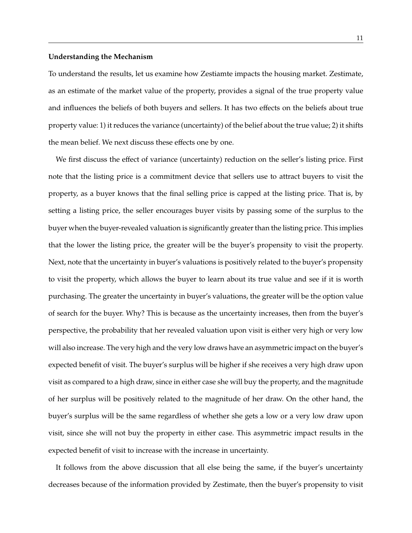## **Understanding the Mechanism**

To understand the results, let us examine how Zestiamte impacts the housing market. Zestimate, as an estimate of the market value of the property, provides a signal of the true property value and influences the beliefs of both buyers and sellers. It has two effects on the beliefs about true property value: 1) it reduces the variance (uncertainty) of the belief about the true value; 2) it shifts the mean belief. We next discuss these effects one by one.

We first discuss the effect of variance (uncertainty) reduction on the seller's listing price. First note that the listing price is a commitment device that sellers use to attract buyers to visit the property, as a buyer knows that the final selling price is capped at the listing price. That is, by setting a listing price, the seller encourages buyer visits by passing some of the surplus to the buyer when the buyer-revealed valuation is significantly greater than the listing price. This implies that the lower the listing price, the greater will be the buyer's propensity to visit the property. Next, note that the uncertainty in buyer's valuations is positively related to the buyer's propensity to visit the property, which allows the buyer to learn about its true value and see if it is worth purchasing. The greater the uncertainty in buyer's valuations, the greater will be the option value of search for the buyer. Why? This is because as the uncertainty increases, then from the buyer's perspective, the probability that her revealed valuation upon visit is either very high or very low will also increase. The very high and the very low draws have an asymmetric impact on the buyer's expected benefit of visit. The buyer's surplus will be higher if she receives a very high draw upon visit as compared to a high draw, since in either case she will buy the property, and the magnitude of her surplus will be positively related to the magnitude of her draw. On the other hand, the buyer's surplus will be the same regardless of whether she gets a low or a very low draw upon visit, since she will not buy the property in either case. This asymmetric impact results in the expected benefit of visit to increase with the increase in uncertainty.

It follows from the above discussion that all else being the same, if the buyer's uncertainty decreases because of the information provided by Zestimate, then the buyer's propensity to visit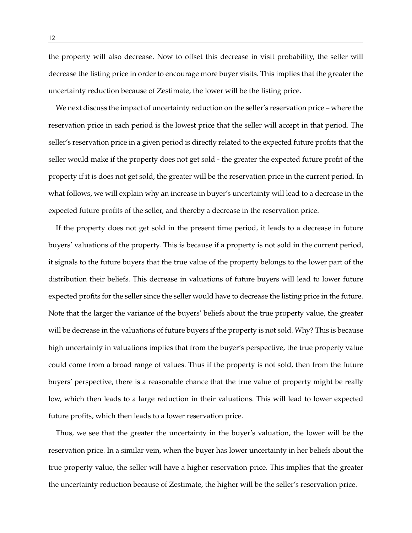the property will also decrease. Now to offset this decrease in visit probability, the seller will decrease the listing price in order to encourage more buyer visits. This implies that the greater the uncertainty reduction because of Zestimate, the lower will be the listing price.

We next discuss the impact of uncertainty reduction on the seller's reservation price – where the reservation price in each period is the lowest price that the seller will accept in that period. The seller's reservation price in a given period is directly related to the expected future profits that the seller would make if the property does not get sold - the greater the expected future profit of the property if it is does not get sold, the greater will be the reservation price in the current period. In what follows, we will explain why an increase in buyer's uncertainty will lead to a decrease in the expected future profits of the seller, and thereby a decrease in the reservation price.

If the property does not get sold in the present time period, it leads to a decrease in future buyers' valuations of the property. This is because if a property is not sold in the current period, it signals to the future buyers that the true value of the property belongs to the lower part of the distribution their beliefs. This decrease in valuations of future buyers will lead to lower future expected profits for the seller since the seller would have to decrease the listing price in the future. Note that the larger the variance of the buyers' beliefs about the true property value, the greater will be decrease in the valuations of future buyers if the property is not sold. Why? This is because high uncertainty in valuations implies that from the buyer's perspective, the true property value could come from a broad range of values. Thus if the property is not sold, then from the future buyers' perspective, there is a reasonable chance that the true value of property might be really low, which then leads to a large reduction in their valuations. This will lead to lower expected future profits, which then leads to a lower reservation price.

Thus, we see that the greater the uncertainty in the buyer's valuation, the lower will be the reservation price. In a similar vein, when the buyer has lower uncertainty in her beliefs about the true property value, the seller will have a higher reservation price. This implies that the greater the uncertainty reduction because of Zestimate, the higher will be the seller's reservation price.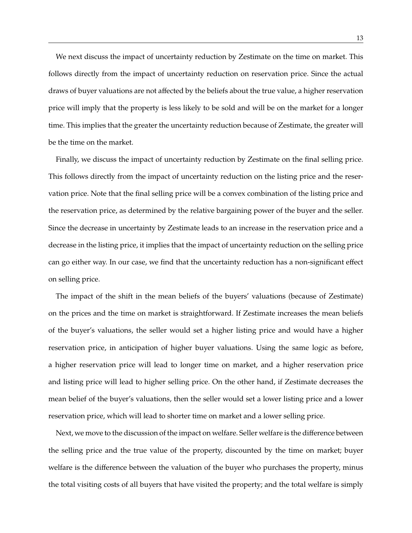We next discuss the impact of uncertainty reduction by Zestimate on the time on market. This follows directly from the impact of uncertainty reduction on reservation price. Since the actual draws of buyer valuations are not affected by the beliefs about the true value, a higher reservation price will imply that the property is less likely to be sold and will be on the market for a longer time. This implies that the greater the uncertainty reduction because of Zestimate, the greater will be the time on the market.

Finally, we discuss the impact of uncertainty reduction by Zestimate on the final selling price. This follows directly from the impact of uncertainty reduction on the listing price and the reservation price. Note that the final selling price will be a convex combination of the listing price and the reservation price, as determined by the relative bargaining power of the buyer and the seller. Since the decrease in uncertainty by Zestimate leads to an increase in the reservation price and a decrease in the listing price, it implies that the impact of uncertainty reduction on the selling price can go either way. In our case, we find that the uncertainty reduction has a non-significant effect on selling price.

The impact of the shift in the mean beliefs of the buyers' valuations (because of Zestimate) on the prices and the time on market is straightforward. If Zestimate increases the mean beliefs of the buyer's valuations, the seller would set a higher listing price and would have a higher reservation price, in anticipation of higher buyer valuations. Using the same logic as before, a higher reservation price will lead to longer time on market, and a higher reservation price and listing price will lead to higher selling price. On the other hand, if Zestimate decreases the mean belief of the buyer's valuations, then the seller would set a lower listing price and a lower reservation price, which will lead to shorter time on market and a lower selling price.

Next, we move to the discussion of the impact on welfare. Seller welfare is the difference between the selling price and the true value of the property, discounted by the time on market; buyer welfare is the difference between the valuation of the buyer who purchases the property, minus the total visiting costs of all buyers that have visited the property; and the total welfare is simply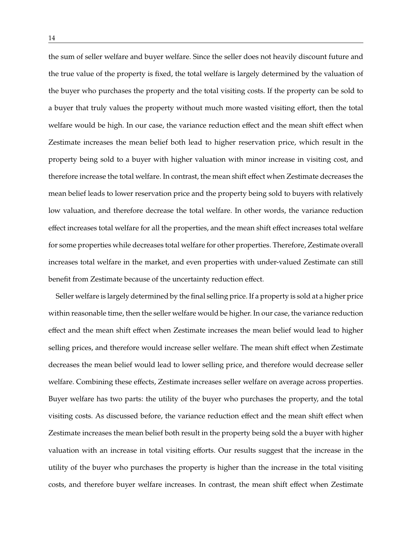the sum of seller welfare and buyer welfare. Since the seller does not heavily discount future and the true value of the property is fixed, the total welfare is largely determined by the valuation of the buyer who purchases the property and the total visiting costs. If the property can be sold to a buyer that truly values the property without much more wasted visiting effort, then the total welfare would be high. In our case, the variance reduction effect and the mean shift effect when Zestimate increases the mean belief both lead to higher reservation price, which result in the property being sold to a buyer with higher valuation with minor increase in visiting cost, and therefore increase the total welfare. In contrast, the mean shift effect when Zestimate decreases the mean belief leads to lower reservation price and the property being sold to buyers with relatively low valuation, and therefore decrease the total welfare. In other words, the variance reduction effect increases total welfare for all the properties, and the mean shift effect increases total welfare for some properties while decreases total welfare for other properties. Therefore, Zestimate overall increases total welfare in the market, and even properties with under-valued Zestimate can still benefit from Zestimate because of the uncertainty reduction effect.

Seller welfare is largely determined by the final selling price. If a property is sold at a higher price within reasonable time, then the seller welfare would be higher. In our case, the variance reduction effect and the mean shift effect when Zestimate increases the mean belief would lead to higher selling prices, and therefore would increase seller welfare. The mean shift effect when Zestimate decreases the mean belief would lead to lower selling price, and therefore would decrease seller welfare. Combining these effects, Zestimate increases seller welfare on average across properties. Buyer welfare has two parts: the utility of the buyer who purchases the property, and the total visiting costs. As discussed before, the variance reduction effect and the mean shift effect when Zestimate increases the mean belief both result in the property being sold the a buyer with higher valuation with an increase in total visiting efforts. Our results suggest that the increase in the utility of the buyer who purchases the property is higher than the increase in the total visiting costs, and therefore buyer welfare increases. In contrast, the mean shift effect when Zestimate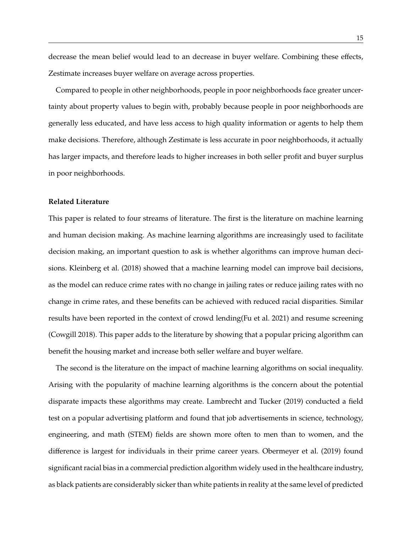decrease the mean belief would lead to an decrease in buyer welfare. Combining these effects, Zestimate increases buyer welfare on average across properties.

Compared to people in other neighborhoods, people in poor neighborhoods face greater uncertainty about property values to begin with, probably because people in poor neighborhoods are generally less educated, and have less access to high quality information or agents to help them make decisions. Therefore, although Zestimate is less accurate in poor neighborhoods, it actually has larger impacts, and therefore leads to higher increases in both seller profit and buyer surplus in poor neighborhoods.

## **Related Literature**

This paper is related to four streams of literature. The first is the literature on machine learning and human decision making. As machine learning algorithms are increasingly used to facilitate decision making, an important question to ask is whether algorithms can improve human decisions. Kleinberg et al. (2018) showed that a machine learning model can improve bail decisions, as the model can reduce crime rates with no change in jailing rates or reduce jailing rates with no change in crime rates, and these benefits can be achieved with reduced racial disparities. Similar results have been reported in the context of crowd lending(Fu et al. 2021) and resume screening (Cowgill 2018). This paper adds to the literature by showing that a popular pricing algorithm can benefit the housing market and increase both seller welfare and buyer welfare.

The second is the literature on the impact of machine learning algorithms on social inequality. Arising with the popularity of machine learning algorithms is the concern about the potential disparate impacts these algorithms may create. Lambrecht and Tucker (2019) conducted a field test on a popular advertising platform and found that job advertisements in science, technology, engineering, and math (STEM) fields are shown more often to men than to women, and the difference is largest for individuals in their prime career years. Obermeyer et al. (2019) found significant racial bias in a commercial prediction algorithm widely used in the healthcare industry, as black patients are considerably sicker than white patients in reality at the same level of predicted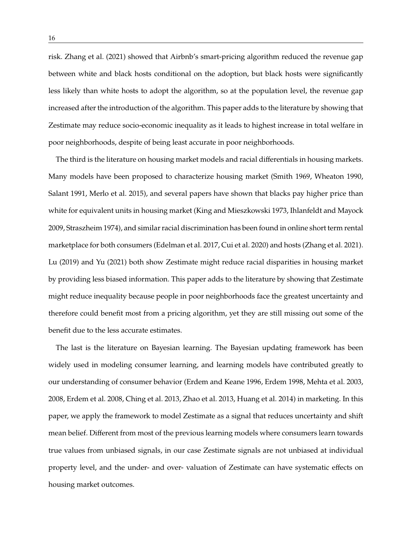risk. Zhang et al. (2021) showed that Airbnb's smart-pricing algorithm reduced the revenue gap between white and black hosts conditional on the adoption, but black hosts were significantly less likely than white hosts to adopt the algorithm, so at the population level, the revenue gap increased after the introduction of the algorithm. This paper adds to the literature by showing that Zestimate may reduce socio-economic inequality as it leads to highest increase in total welfare in poor neighborhoods, despite of being least accurate in poor neighborhoods.

The third is the literature on housing market models and racial differentials in housing markets. Many models have been proposed to characterize housing market (Smith 1969, Wheaton 1990, Salant 1991, Merlo et al. 2015), and several papers have shown that blacks pay higher price than white for equivalent units in housing market (King and Mieszkowski 1973, Ihlanfeldt and Mayock 2009, Straszheim 1974), and similar racial discrimination has been found in online short term rental marketplace for both consumers (Edelman et al. 2017, Cui et al. 2020) and hosts (Zhang et al. 2021). Lu (2019) and Yu (2021) both show Zestimate might reduce racial disparities in housing market by providing less biased information. This paper adds to the literature by showing that Zestimate might reduce inequality because people in poor neighborhoods face the greatest uncertainty and therefore could benefit most from a pricing algorithm, yet they are still missing out some of the benefit due to the less accurate estimates.

The last is the literature on Bayesian learning. The Bayesian updating framework has been widely used in modeling consumer learning, and learning models have contributed greatly to our understanding of consumer behavior (Erdem and Keane 1996, Erdem 1998, Mehta et al. 2003, 2008, Erdem et al. 2008, Ching et al. 2013, Zhao et al. 2013, Huang et al. 2014) in marketing. In this paper, we apply the framework to model Zestimate as a signal that reduces uncertainty and shift mean belief. Different from most of the previous learning models where consumers learn towards true values from unbiased signals, in our case Zestimate signals are not unbiased at individual property level, and the under- and over- valuation of Zestimate can have systematic effects on housing market outcomes.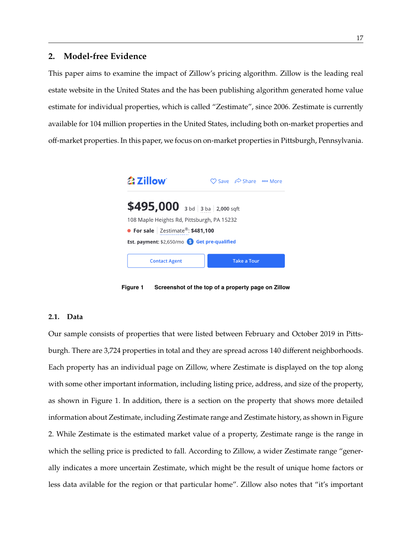## **2. Model-free Evidence**

This paper aims to examine the impact of Zillow's pricing algorithm. Zillow is the leading real estate website in the United States and the has been publishing algorithm generated home value estimate for individual properties, which is called "Zestimate", since 2006. Zestimate is currently available for 104 million properties in the United States, including both on-market properties and off-market properties. In this paper, we focus on on-market properties in Pittsburgh, Pennsylvania.



**Figure 1 Screenshot of the top of a property page on Zillow**

#### **2.1. Data**

Our sample consists of properties that were listed between February and October 2019 in Pittsburgh. There are 3,724 properties in total and they are spread across 140 different neighborhoods. Each property has an individual page on Zillow, where Zestimate is displayed on the top along with some other important information, including listing price, address, and size of the property, as shown in Figure 1. In addition, there is a section on the property that shows more detailed information about Zestimate, including Zestimate range and Zestimate history, as shown in Figure 2. While Zestimate is the estimated market value of a property, Zestimate range is the range in which the selling price is predicted to fall. According to Zillow, a wider Zestimate range "generally indicates a more uncertain Zestimate, which might be the result of unique home factors or less data avilable for the region or that particular home". Zillow also notes that "it's important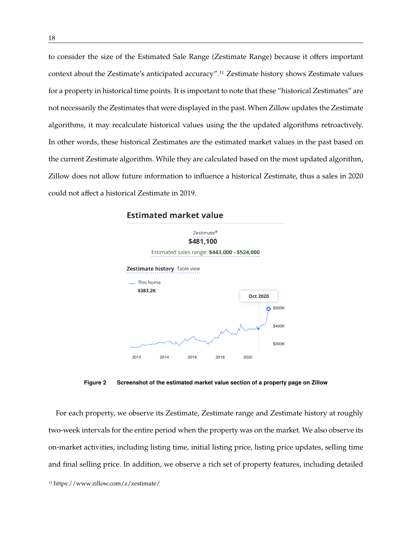to consider the size of the Estimated Sale Range (Zestimate Range) because it offers important context about the Zestimate's anticipated accuracy".11 Zestimate history shows Zestimate values for a property in historical time points. It is important to note that these "historical Zestimates" are not necessarily the Zestimates that were displayed in the past. When Zillow updates the Zestimate algorithms, it may recalculate historical values using the the updated algorithms retroactively. In other words, these historical Zestimates are the estimated market values in the past based on the current Zestimate algorithm. While they are calculated based on the most updated algorithm, Zillow does not allow future information to influence a historical Zestimate, thus a sales in 2020 could not affect a historical Zestimate in 2019.



## **Estimated market value**

**Figure 2 Screenshot of the estimated market value section of a property page on Zillow**

For each property, we observe its Zestimate, Zestimate range and Zestimate history at roughly two-week intervals for the entire period when the property was on the market. We also observe its on-market activities, including listing time, initial listing price, listing price updates, selling time and final selling price. In addition, we observe a rich set of property features, including detailed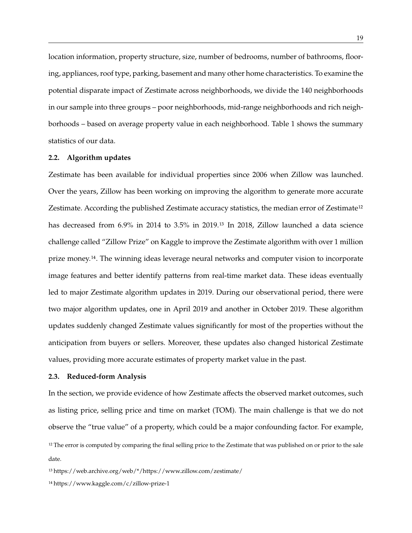location information, property structure, size, number of bedrooms, number of bathrooms, flooring, appliances, roof type, parking, basement and many other home characteristics. To examine the potential disparate impact of Zestimate across neighborhoods, we divide the 140 neighborhoods in our sample into three groups – poor neighborhoods, mid-range neighborhoods and rich neighborhoods – based on average property value in each neighborhood. Table 1 shows the summary statistics of our data.

#### **2.2. Algorithm updates**

Zestimate has been available for individual properties since 2006 when Zillow was launched. Over the years, Zillow has been working on improving the algorithm to generate more accurate Zestimate. According the published Zestimate accuracy statistics, the median error of Zestimate<sup>12</sup> has decreased from 6.9% in 2014 to 3.5% in 2019.<sup>13</sup> In 2018, Zillow launched a data science challenge called "Zillow Prize" on Kaggle to improve the Zestimate algorithm with over 1 million prize money.14. The winning ideas leverage neural networks and computer vision to incorporate image features and better identify patterns from real-time market data. These ideas eventually led to major Zestimate algorithm updates in 2019. During our observational period, there were two major algorithm updates, one in April 2019 and another in October 2019. These algorithm updates suddenly changed Zestimate values significantly for most of the properties without the anticipation from buyers or sellers. Moreover, these updates also changed historical Zestimate values, providing more accurate estimates of property market value in the past.

#### **2.3. Reduced-form Analysis**

In the section, we provide evidence of how Zestimate affects the observed market outcomes, such as listing price, selling price and time on market (TOM). The main challenge is that we do not observe the "true value" of a property, which could be a major confounding factor. For example,

13 https://web.archive.org/web/\*/https://www.zillow.com/zestimate/

14 https://www.kaggle.com/c/zillow-prize-1

<sup>&</sup>lt;sup>12</sup> The error is computed by comparing the final selling price to the Zestimate that was published on or prior to the sale date.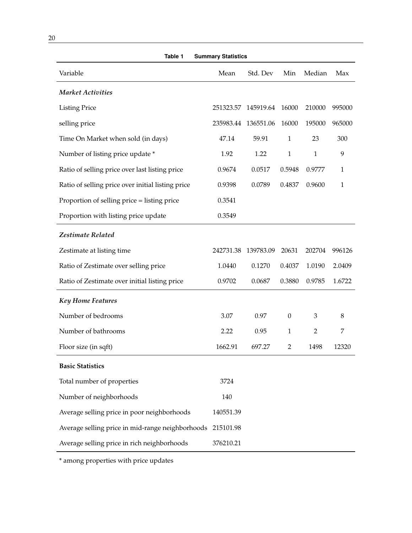| Table 1<br><b>Summary Statistics</b>              |                     |           |                  |                |              |
|---------------------------------------------------|---------------------|-----------|------------------|----------------|--------------|
| Variable                                          | Mean                | Std. Dev  | Min              | Median         | Max          |
| <b>Market Activities</b>                          |                     |           |                  |                |              |
| <b>Listing Price</b>                              | 251323.57           | 145919.64 | 16000            | 210000         | 995000       |
| selling price                                     | 235983.44 136551.06 |           | 16000            | 195000         | 965000       |
| Time On Market when sold (in days)                | 47.14               | 59.91     | $\mathbf{1}$     | 23             | 300          |
| Number of listing price update *                  | 1.92                | 1.22      | $\mathbf{1}$     | $\mathbf{1}$   | 9            |
| Ratio of selling price over last listing price    | 0.9674              | 0.0517    | 0.5948           | 0.9777         | $\mathbf{1}$ |
| Ratio of selling price over initial listing price | 0.9398              | 0.0789    | 0.4837           | 0.9600         | $\mathbf{1}$ |
| Proportion of selling price = listing price       | 0.3541              |           |                  |                |              |
| Proportion with listing price update              | 0.3549              |           |                  |                |              |
| Zestimate Related                                 |                     |           |                  |                |              |
| Zestimate at listing time                         | 242731.38           | 139783.09 | 20631            | 202704         | 996126       |
| Ratio of Zestimate over selling price             | 1.0440              | 0.1270    | 0.4037           | 1.0190         | 2.0409       |
| Ratio of Zestimate over initial listing price     | 0.9702              | 0.0687    | 0.3880           | 0.9785         | 1.6722       |
| <b>Key Home Features</b>                          |                     |           |                  |                |              |
| Number of bedrooms                                | 3.07                | 0.97      | $\boldsymbol{0}$ | 3              | 8            |
| Number of bathrooms                               | 2.22                | 0.95      | $\mathbf{1}$     | $\overline{2}$ | 7            |
| Floor size (in sqft)                              | 1662.91             | 697.27    | 2                | 1498           | 12320        |
| <b>Basic Statistics</b>                           |                     |           |                  |                |              |
| Total number of properties                        | 3724                |           |                  |                |              |
| Number of neighborhoods                           | 140                 |           |                  |                |              |
| Average selling price in poor neighborhoods       | 140551.39           |           |                  |                |              |
| Average selling price in mid-range neighborhoods  | 215101.98           |           |                  |                |              |
| Average selling price in rich neighborhoods       | 376210.21           |           |                  |                |              |

<u> 1980 - Johann Barbara, martxa amerikan per</u>

\* among properties with price updates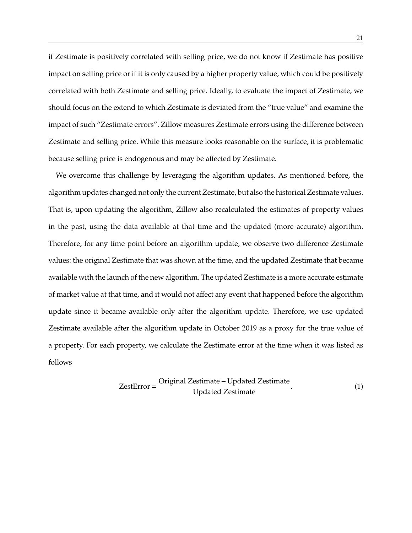if Zestimate is positively correlated with selling price, we do not know if Zestimate has positive impact on selling price or if it is only caused by a higher property value, which could be positively correlated with both Zestimate and selling price. Ideally, to evaluate the impact of Zestimate, we should focus on the extend to which Zestimate is deviated from the "true value" and examine the impact of such "Zestimate errors". Zillow measures Zestimate errors using the difference between Zestimate and selling price. While this measure looks reasonable on the surface, it is problematic because selling price is endogenous and may be affected by Zestimate.

We overcome this challenge by leveraging the algorithm updates. As mentioned before, the algorithm updates changed not only the current Zestimate, but also the historical Zestimate values. That is, upon updating the algorithm, Zillow also recalculated the estimates of property values in the past, using the data available at that time and the updated (more accurate) algorithm. Therefore, for any time point before an algorithm update, we observe two difference Zestimate values: the original Zestimate that was shown at the time, and the updated Zestimate that became available with the launch of the new algorithm. The updated Zestimate is a more accurate estimate of market value at that time, and it would not affect any event that happened before the algorithm update since it became available only after the algorithm update. Therefore, we use updated Zestimate available after the algorithm update in October 2019 as a proxy for the true value of a property. For each property, we calculate the Zestimate error at the time when it was listed as follows

$$
ZestError = \frac{Original Zestimate - Updated Zestimate}{Update Zestimate}.
$$
 (1)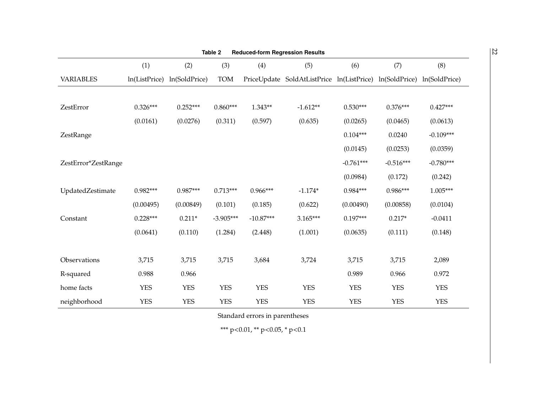| Table 2<br><b>Reduced-form Regression Results</b> |             |                             |             |             |                                                                       |             |             |             |
|---------------------------------------------------|-------------|-----------------------------|-------------|-------------|-----------------------------------------------------------------------|-------------|-------------|-------------|
|                                                   | (1)         | (2)                         | (3)         | (4)         | (5)                                                                   | (6)         | (7)         | (8)         |
| <b>VARIABLES</b>                                  |             | ln(ListPrice) ln(SoldPrice) | <b>TOM</b>  |             | PriceUpdate SoldAtListPrice ln(ListPrice) ln(SoldPrice) ln(SoldPrice) |             |             |             |
|                                                   |             |                             |             |             |                                                                       |             |             |             |
| ZestError                                         | $0.326***$  | $0.252***$                  | $0.860***$  | $1.343**$   | $-1.612**$                                                            | $0.530***$  | $0.376***$  | $0.427***$  |
|                                                   | (0.0161)    | (0.0276)                    | (0.311)     | (0.597)     | (0.635)                                                               | (0.0265)    | (0.0465)    | (0.0613)    |
| ZestRange                                         |             |                             |             |             |                                                                       | $0.104***$  | 0.0240      | $-0.109***$ |
|                                                   |             |                             |             |             |                                                                       | (0.0145)    | (0.0253)    | (0.0359)    |
| ZestError*ZestRange                               |             |                             |             |             |                                                                       | $-0.761***$ | $-0.516***$ | $-0.780***$ |
|                                                   |             |                             |             |             |                                                                       | (0.0984)    | (0.172)     | (0.242)     |
| UpdatedZestimate                                  | $0.982***$  | $0.987***$                  | $0.713***$  | $0.966***$  | $-1.174*$                                                             | $0.984***$  | $0.986***$  | $1.005***$  |
|                                                   | (0.00495)   | (0.00849)                   | (0.101)     | (0.185)     | (0.622)                                                               | (0.00490)   | (0.00858)   | (0.0104)    |
| Constant                                          | $0.228***$  | $0.211*$                    | $-3.905***$ | $-10.87***$ | $3.165***$                                                            | $0.197***$  | $0.217*$    | $-0.0411$   |
|                                                   | (0.0641)    | (0.110)                     | (1.284)     | (2.448)     | (1.001)                                                               | (0.0635)    | (0.111)     | (0.148)     |
| Observations                                      | 3,715       | 3,715                       | 3,715       | 3,684       | 3,724                                                                 | 3,715       | 3,715       |             |
|                                                   |             |                             |             |             |                                                                       |             |             | 2,089       |
| R-squared                                         | 0.988       | 0.966                       |             |             |                                                                       | 0.989       | 0.966       | 0.972       |
| home facts                                        | ${\it YES}$ | ${\it YES}$                 | <b>YES</b>  | <b>YES</b>  | <b>YES</b>                                                            | <b>YES</b>  | <b>YES</b>  | <b>YES</b>  |
| neighborhood                                      | ${\it YES}$ | ${\rm YES}$                 | ${\rm YES}$ | <b>YES</b>  | <b>YES</b>                                                            | <b>YES</b>  | <b>YES</b>  | <b>YES</b>  |

Standard errors in parentheses

\*\*\* p<sup>&</sup>lt;0.01, \*\* p<sup>&</sup>lt;0.05, \* p<0.1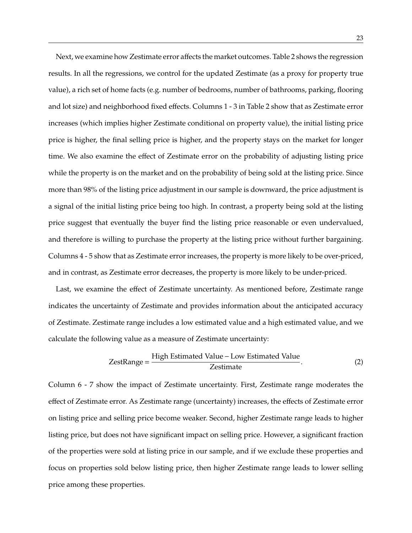Next, we examine how Zestimate error affects the market outcomes. Table 2 shows the regression results. In all the regressions, we control for the updated Zestimate (as a proxy for property true value), a rich set of home facts (e.g. number of bedrooms, number of bathrooms, parking, flooring and lot size) and neighborhood fixed effects. Columns 1 - 3 in Table 2 show that as Zestimate error increases (which implies higher Zestimate conditional on property value), the initial listing price price is higher, the final selling price is higher, and the property stays on the market for longer time. We also examine the effect of Zestimate error on the probability of adjusting listing price while the property is on the market and on the probability of being sold at the listing price. Since more than 98% of the listing price adjustment in our sample is downward, the price adjustment is a signal of the initial listing price being too high. In contrast, a property being sold at the listing price suggest that eventually the buyer find the listing price reasonable or even undervalued, and therefore is willing to purchase the property at the listing price without further bargaining. Columns 4 - 5 show that as Zestimate error increases, the property is more likely to be over-priced, and in contrast, as Zestimate error decreases, the property is more likely to be under-priced.

Last, we examine the effect of Zestimate uncertainty. As mentioned before, Zestimate range indicates the uncertainty of Zestimate and provides information about the anticipated accuracy of Zestimate. Zestimate range includes a low estimated value and a high estimated value, and we calculate the following value as a measure of Zestimate uncertainty:

ZestRange = 
$$
\frac{\text{High Estimated Value} - \text{Low Estimated Value}}{\text{Zestimate}}.
$$
 (2)

Column 6 - 7 show the impact of Zestimate uncertainty. First, Zestimate range moderates the effect of Zestimate error. As Zestimate range (uncertainty) increases, the effects of Zestimate error on listing price and selling price become weaker. Second, higher Zestimate range leads to higher listing price, but does not have significant impact on selling price. However, a significant fraction of the properties were sold at listing price in our sample, and if we exclude these properties and focus on properties sold below listing price, then higher Zestimate range leads to lower selling price among these properties.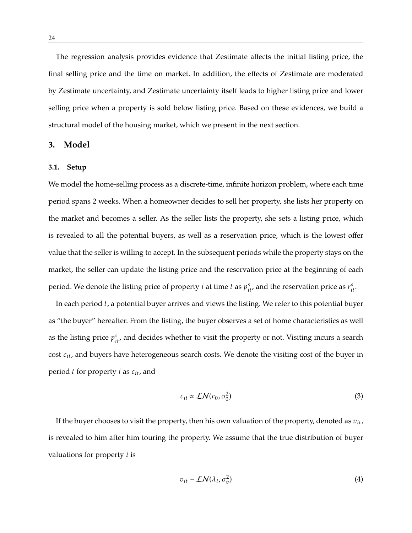The regression analysis provides evidence that Zestimate affects the initial listing price, the final selling price and the time on market. In addition, the effects of Zestimate are moderated by Zestimate uncertainty, and Zestimate uncertainty itself leads to higher listing price and lower selling price when a property is sold below listing price. Based on these evidences, we build a structural model of the housing market, which we present in the next section.

## **3. Model**

#### **3.1. Setup**

We model the home-selling process as a discrete-time, infinite horizon problem, where each time period spans 2 weeks. When a homeowner decides to sell her property, she lists her property on the market and becomes a seller. As the seller lists the property, she sets a listing price, which is revealed to all the potential buyers, as well as a reservation price, which is the lowest offer value that the seller is willing to accept. In the subsequent periods while the property stays on the market, the seller can update the listing price and the reservation price at the beginning of each period. We denote the listing price of property  $i$  at time  $t$  as  $p_{it}^s$ , and the reservation price as  $r_{it}^s$ .

In each period  $t$ , a potential buyer arrives and views the listing. We refer to this potential buyer as "the buyer" hereafter. From the listing, the buyer observes a set of home characteristics as well as the listing price  $p_{it}^s$ , and decides whether to visit the property or not. Visiting incurs a search cost  $c_{it}$ , and buyers have heterogeneous search costs. We denote the visiting cost of the buyer in period  $t$  for property  $i$  as  $c_{it}$ , and

$$
c_{it} \propto \mathcal{LN}(c_0, \sigma_0^2) \tag{3}
$$

If the buyer chooses to visit the property, then his own valuation of the property, denoted as  $v_{it}$ , is revealed to him after him touring the property. We assume that the true distribution of buyer valuations for property  $i$  is

$$
v_{it} \sim \mathcal{LN}(\lambda_i, \sigma_v^2) \tag{4}
$$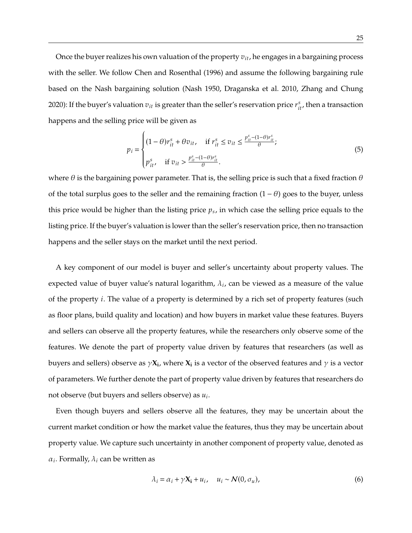Once the buyer realizes his own valuation of the property  $v_{it}$ , he engages in a bargaining process with the seller. We follow Chen and Rosenthal (1996) and assume the following bargaining rule based on the Nash bargaining solution (Nash 1950, Draganska et al. 2010, Zhang and Chung 2020): If the buyer's valuation  $v_{it}$  is greater than the seller's reservation price  $r^s_{it}$ , then a transaction happens and the selling price will be given as

$$
p_{i} = \begin{cases} (1 - \theta)r_{it}^{s} + \theta v_{it}, & \text{if } r_{it}^{s} \le v_{it} \le \frac{p_{it}^{s} - (1 - \theta)r_{it}^{s}}{\theta}; \\ p_{it}^{s}, & \text{if } v_{it} > \frac{p_{it}^{s} - (1 - \theta)r_{it}^{s}}{\theta}. \end{cases}
$$
(5)

J. where  $\theta$  is the bargaining power parameter. That is, the selling price is such that a fixed fraction  $\theta$ of the total surplus goes to the seller and the remaining fraction  $(1 - \theta)$  goes to the buyer, unless this price would be higher than the listing price  $p_s$ , in which case the selling price equals to the listing price. If the buyer's valuation is lower than the seller's reservation price, then no transaction happens and the seller stays on the market until the next period.

A key component of our model is buyer and seller's uncertainty about property values. The expected value of buyer value's natural logarithm,  $\lambda_i$ , can be viewed as a measure of the value of the property  $i$ . The value of a property is determined by a rich set of property features (such as floor plans, build quality and location) and how buyers in market value these features. Buyers and sellers can observe all the property features, while the researchers only observe some of the features. We denote the part of property value driven by features that researchers (as well as buyers and sellers) observe as  $\gamma \mathbf{X_i}$ , where  $\mathbf{X_i}$  is a vector of the observed features and  $\gamma$  is a vector of parameters. We further denote the part of property value driven by features that researchers do not observe (but buyers and sellers observe) as  $u_i$ .

Even though buyers and sellers observe all the features, they may be uncertain about the current market condition or how the market value the features, thus they may be uncertain about property value. We capture such uncertainty in another component of property value, denoted as  $\alpha_i$ . Formally,  $\lambda_i$  can be written as

$$
\lambda_i = \alpha_i + \gamma \mathbf{X_i} + u_i, \quad u_i \sim \mathcal{N}(0, \sigma_u), \tag{6}
$$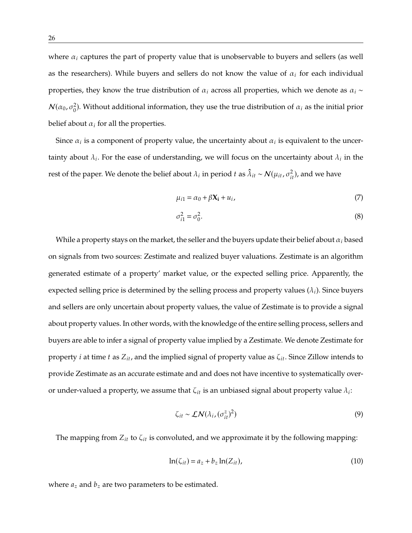where  $\alpha_i$  captures the part of property value that is unobservable to buyers and sellers (as well as the researchers). While buyers and sellers do not know the value of  $\alpha_i$  for each individual properties, they know the true distribution of  $\alpha_i$  across all properties, which we denote as  $\alpha_i \sim$  $\mathcal{N}(\alpha_0, \sigma_0^2)$  $\alpha_0^2$ ). Without additional information, they use the true distribution of  $\alpha_i$  as the initial prior belief about  $\alpha_i$  for all the properties.

Since  $\alpha_i$  is a component of property value, the uncertainty about  $\alpha_i$  is equivalent to the uncertainty about  $\lambda_i$ . For the ease of understanding, we will focus on the uncertainty about  $\lambda_i$  in the rest of the paper. We denote the belief about  $\lambda_i$  in period t as  $\hat{\lambda}_{it} \sim \mathcal{N}(\mu_{it}, \sigma_{it}^2)$ , and we have

$$
\mu_{i1} = \alpha_0 + \beta \mathbf{X_i} + u_i, \tag{7}
$$

$$
\sigma_{i1}^2 = \sigma_0^2. \tag{8}
$$

While a property stays on the market, the seller and the buyers update their belief about  $\alpha_i$  based on signals from two sources: Zestimate and realized buyer valuations. Zestimate is an algorithm generated estimate of a property' market value, or the expected selling price. Apparently, the expected selling price is determined by the selling process and property values  $(\lambda_i)$ . Since buyers and sellers are only uncertain about property values, the value of Zestimate is to provide a signal about property values. In other words, with the knowledge of the entire selling process, sellers and buyers are able to infer a signal of property value implied by a Zestimate. We denote Zestimate for property *i* at time *t* as  $Z_{it}$ , and the implied signal of property value as  $\zeta_{it}$ . Since Zillow intends to provide Zestimate as an accurate estimate and and does not have incentive to systematically overor under-valued a property, we assume that  $\zeta_{it}$  is an unbiased signal about property value  $\lambda_i$ :

$$
\zeta_{it} \sim \mathcal{L}N(\lambda_i, (\sigma_{it}^z)^2)
$$
 (9)

The mapping from  $Z_{it}$  to  $\zeta_{it}$  is convoluted, and we approximate it by the following mapping:

$$
\ln(\zeta_{it}) = a_z + b_z \ln(Z_{it}),\tag{10}
$$

where  $a_z$  and  $b_z$  are two parameters to be estimated.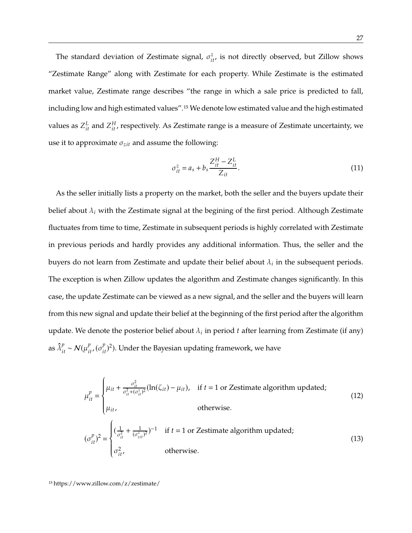The standard deviation of Zestimate signal,  $\sigma_{it}^z$ , is not directly observed, but Zillow shows "Zestimate Range" along with Zestimate for each property. While Zestimate is the estimated market value, Zestimate range describes "the range in which a sale price is predicted to fall, including low and high estimated values".15 We denote low estimated value and the high estimated values as  $Z_{it}^L$  and  $Z_{it}^H$ , respectively. As Zestimate range is a measure of Zestimate uncertainty, we use it to approximate  $\sigma_{zit}$  and assume the following:

$$
\sigma_{it}^{z} = a_{s} + b_{s} \frac{Z_{it}^{H} - Z_{it}^{L}}{Z_{it}}.
$$
\n(11)

As the seller initially lists a property on the market, both the seller and the buyers update their belief about  $\lambda_i$  with the Zestimate signal at the begining of the first period. Although Zestimate fluctuates from time to time, Zestimate in subsequent periods is highly correlated with Zestimate in previous periods and hardly provides any additional information. Thus, the seller and the buyers do not learn from Zestimate and update their belief about  $\lambda_i$  in the subsequent periods. The exception is when Zillow updates the algorithm and Zestimate changes significantly. In this case, the update Zestimate can be viewed as a new signal, and the seller and the buyers will learn from this new signal and update their belief at the beginning of the first period after the algorithm update. We denote the posterior belief about  $\lambda_i$  in period  $t$  after learning from Zestimate (if any) as  $\hat{\lambda}_{it}^{p} \sim \mathcal{N}(\mu_{it'}^{p}(\sigma_{it}^{p})^2)$ . Under the Bayesian updating framework, we have

$$
\mu_{it}^{p} = \begin{cases}\n\mu_{it} + \frac{\sigma_{it}^{2}}{\sigma_{it}^{2} + (\sigma_{it}^{2})^{2}} (\ln(\zeta_{it}) - \mu_{it}), & \text{if } t = 1 \text{ or Zestimate algorithm updated;} \\
\mu_{it}, & \text{otherwise.} \\
(\sigma_{it}^{p})^{2} = \begin{cases}\n(\frac{1}{\sigma_{it}^{2}} + \frac{1}{(\sigma_{zit}^{2})^{2}})^{-1} & \text{if } t = 1 \text{ or Zestimate algorithm updated;} \\
\sigma_{it}^{2}, & \text{otherwise.} \\
\end{cases}
$$
\n(13)

15 https://www.zillow.com/z/zestimate/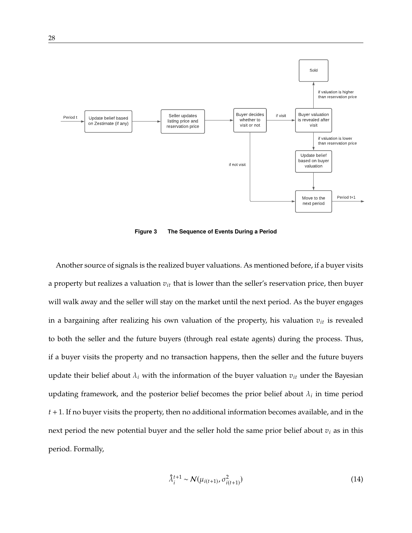

**Figure 3 The Sequence of Events During a Period**

Another source of signals is the realized buyer valuations. As mentioned before, if a buyer visits a property but realizes a valuation  $v_{it}$  that is lower than the seller's reservation price, then buyer will walk away and the seller will stay on the market until the next period. As the buyer engages in a bargaining after realizing his own valuation of the property, his valuation  $v_{it}$  is revealed to both the seller and the future buyers (through real estate agents) during the process. Thus, if a buyer visits the property and no transaction happens, then the seller and the future buyers update their belief about  $\lambda_i$  with the information of the buyer valuation  $v_{it}$  under the Bayesian updating framework, and the posterior belief becomes the prior belief about  $\lambda_i$  in time period  $t + 1$ . If no buyer visits the property, then no additional information becomes available, and in the next period the new potential buyer and the seller hold the same prior belief about  $v_i$  as in this period. Formally,

$$
\hat{\lambda}_i^{t+1} \sim \mathcal{N}(\mu_{i(t+1)}, \sigma_{i(t+1)}^2)
$$
\n(14)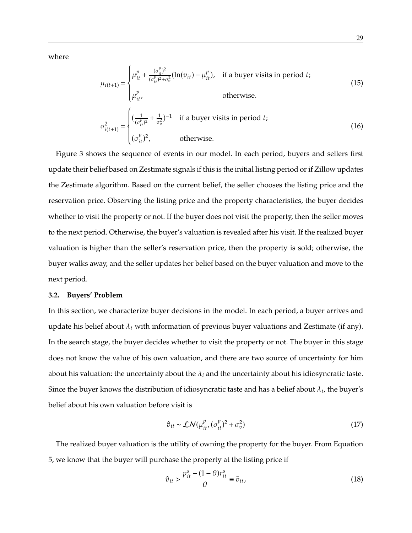where

$$
\mu_{i(t+1)} = \begin{cases}\n\mu_{it}^p + \frac{(\sigma_{it}^p)^2}{(\sigma_{it}^p)^2 + \sigma_v^2} (\ln(v_{it}) - \mu_{it}^p), & \text{if a buyer visits in period } t; \\
\mu_{it}^p, & \text{otherwise.} \n\end{cases}
$$
\n
$$
\sigma_{i(t+1)}^2 = \begin{cases}\n(\frac{1}{(\sigma_{it}^p)^2} + \frac{1}{\sigma_v^2})^{-1} & \text{if a buyer visits in period } t; \\
(\sigma_{it}^p)^2, & \text{otherwise.}\n\end{cases}
$$
\n(16)

J. Figure 3 shows the sequence of events in our model. In each period, buyers and sellers first update their belief based on Zestimate signals if this is the initial listing period or if Zillow updates the Zestimate algorithm. Based on the current belief, the seller chooses the listing price and the reservation price. Observing the listing price and the property characteristics, the buyer decides whether to visit the property or not. If the buyer does not visit the property, then the seller moves to the next period. Otherwise, the buyer's valuation is revealed after his visit. If the realized buyer valuation is higher than the seller's reservation price, then the property is sold; otherwise, the buyer walks away, and the seller updates her belief based on the buyer valuation and move to the next period.

#### **3.2. Buyers' Problem**

In this section, we characterize buyer decisions in the model. In each period, a buyer arrives and update his belief about  $\lambda_i$  with information of previous buyer valuations and Zestimate (if any). In the search stage, the buyer decides whether to visit the property or not. The buyer in this stage does not know the value of his own valuation, and there are two source of uncertainty for him about his valuation: the uncertainty about the  $\lambda_i$  and the uncertainty about his idiosyncratic taste. Since the buyer knows the distribution of idiosyncratic taste and has a belief about  $\lambda_i$ , the buyer's belief about his own valuation before visit is

$$
\hat{v}_{it} \sim \mathcal{LN}(\mu_{it}^p, (\sigma_{it}^p)^2 + \sigma_v^2)
$$
 (17)

The realized buyer valuation is the utility of owning the property for the buyer. From Equation 5, we know that the buyer will purchase the property at the listing price if

$$
\hat{\sigma}_{it} > \frac{p_{it}^s - (1 - \theta)r_{it}^s}{\theta} \equiv \bar{\sigma}_{it},\tag{18}
$$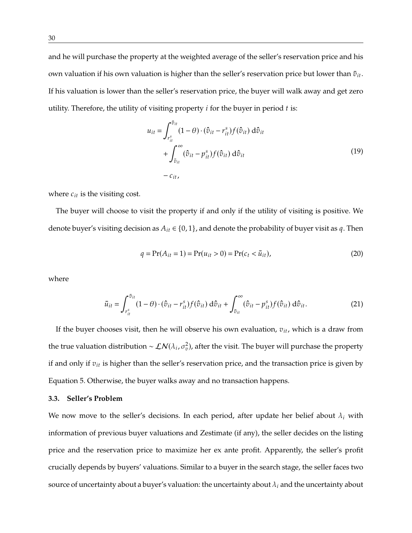and he will purchase the property at the weighted average of the seller's reservation price and his own valuation if his own valuation is higher than the seller's reservation price but lower than  $\bar{v}_{it}$ . If his valuation is lower than the seller's reservation price, the buyer will walk away and get zero utility. Therefore, the utility of visiting property  $i$  for the buyer in period  $t$  is:

$$
u_{it} = \int_{r_{it}^s}^{\bar{v}_{it}} (1 - \theta) \cdot (\hat{v}_{it} - r_{it}^s) f(\hat{v}_{it}) d\hat{v}_{it}
$$
  
+ 
$$
\int_{\bar{v}_{it}}^{\infty} (\hat{v}_{it} - p_{it}^s) f(\hat{v}_{it}) d\hat{v}_{it}
$$
  
- 
$$
c_{it},
$$
 (19)

where  $c_{it}$  is the visiting cost.

The buyer will choose to visit the property if and only if the utility of visiting is positive. We denote buyer's visiting decision as  $A_{it} \in \{0, 1\}$ , and denote the probability of buyer visit as q. Then

$$
q = \Pr(A_{it} = 1) = \Pr(u_{it} > 0) = \Pr(c_t < \bar{u}_{it}),\tag{20}
$$

where

$$
\bar{u}_{it} = \int_{r_{it}^s}^{\bar{v}_{it}} (1 - \theta) \cdot (\hat{v}_{it} - r_{it}^s) f(\hat{v}_{it}) d\hat{v}_{it} + \int_{\bar{v}_{it}}^{\infty} (\hat{v}_{it} - p_{it}^s) f(\hat{v}_{it}) d\hat{v}_{it}.
$$
\n(21)

If the buyer chooses visit, then he will observe his own evaluation,  $v_{it}$ , which is a draw from the true valuation distribution ~  $\mathcal{LN}(\lambda_i, \sigma_v^2)$ , after the visit. The buyer will purchase the property if and only if  $v_{it}$  is higher than the seller's reservation price, and the transaction price is given by Equation 5. Otherwise, the buyer walks away and no transaction happens.

## **3.3. Seller's Problem**

We now move to the seller's decisions. In each period, after update her belief about  $\lambda_i$  with information of previous buyer valuations and Zestimate (if any), the seller decides on the listing price and the reservation price to maximize her ex ante profit. Apparently, the seller's profit crucially depends by buyers' valuations. Similar to a buyer in the search stage, the seller faces two source of uncertainty about a buyer's valuation: the uncertainty about  $\lambda_i$  and the uncertainty about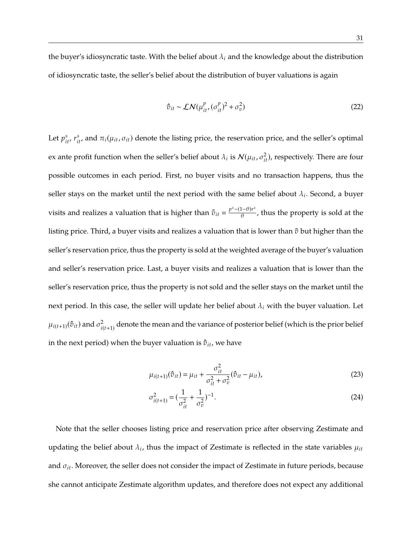the buyer's idiosyncratic taste. With the belief about  $\lambda_i$  and the knowledge about the distribution of idiosyncratic taste, the seller's belief about the distribution of buyer valuations is again

$$
\hat{v}_{it} \sim \mathcal{LN}(\mu_{it}^p, (\sigma_{it}^p)^2 + \sigma_v^2)
$$
 (22)

Let  $p_{it}^s$ ,  $r_{it}^s$  and  $\pi_i(\mu_{it}, \sigma_{it})$  denote the listing price, the reservation price, and the seller's optimal ex ante profit function when the seller's belief about  $\lambda_i$  is  $\mathcal{N}(\mu_{it}, \sigma_{it}^2)$ , respectively. There are four possible outcomes in each period. First, no buyer visits and no transaction happens, thus the seller stays on the market until the next period with the same belief about  $\lambda_i$ . Second, a buyer visits and realizes a valuation that is higher than  $\bar{v}_{it} = \frac{p^s - (1-\theta)r^s}{\theta}$ , thus the property is sold at the listing price. Third, a buyer visits and realizes a valuation that is lower than  $\bar{v}$  but higher than the seller's reservation price, thus the property is sold at the weighted average of the buyer's valuation and seller's reservation price. Last, a buyer visits and realizes a valuation that is lower than the seller's reservation price, thus the property is not sold and the seller stays on the market until the next period. In this case, the seller will update her belief about  $\lambda_i$  with the buyer valuation. Let  $\mu_{i(t+1)}(\hat{v}_{it})$  and  $\sigma_{i(t+1)}^2$  denote the mean and the variance of posterior belief (which is the prior belief in the next period) when the buyer valuation is  $\hat{v}_{it}$ , we have

$$
\mu_{i(t+1)}(\hat{\sigma}_{it}) = \mu_{it} + \frac{\sigma_{it}^2}{\sigma_{it}^2 + \sigma_v^2} (\hat{\sigma}_{it} - \mu_{it}),
$$
\n(23)

$$
\sigma_{i(t+1)}^2 = \left(\frac{1}{\sigma_{it}^2} + \frac{1}{\sigma_v^2}\right)^{-1}.\tag{24}
$$

Note that the seller chooses listing price and reservation price after observing Zestimate and updating the belief about  $\lambda_i$ , thus the impact of Zestimate is reflected in the state variables  $\mu_{it}$ and  $\sigma_{it}$ . Moreover, the seller does not consider the impact of Zestimate in future periods, because she cannot anticipate Zestimate algorithm updates, and therefore does not expect any additional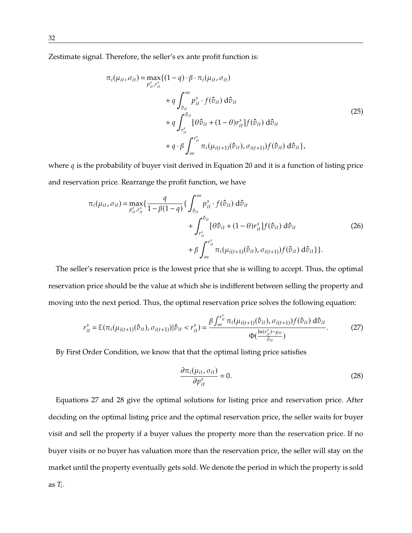Zestimate signal. Therefore, the seller's ex ante profit function is:

$$
\pi_i(\mu_{it}, \sigma_{it}) = \max_{p_{it}^s, r_{it}^s} \{(1-q) \cdot \beta \cdot \pi_i(\mu_{it}, \sigma_{it})
$$
\n
$$
+ q \int_{\bar{v}_{it}}^{\infty} p_{it}^s \cdot f(\hat{v}_{it}) d\hat{v}_{it}
$$
\n
$$
+ q \int_{r_{it}^s}^{\bar{v}_{it}} [\theta \hat{v}_{it} + (1-\theta) r_{it}^s] f(\hat{v}_{it}) d\hat{v}_{it}
$$
\n
$$
+ q \cdot \beta \int_{\infty}^{r_{it}^s} \pi_i(\mu_{i(t+1)}(\hat{v}_{it}), \sigma_{i(t+1)}) f(\hat{v}_{it}) d\hat{v}_{it} \},
$$
\n(25)

where  $q$  is the probability of buyer visit derived in Equation 20 and it is a function of listing price and reservation price. Rearrange the profit function, we have

$$
\pi_i(\mu_{it}, \sigma_{it}) = \max_{p_{it}^s, r_{it}^s} \left\{ \frac{q}{1 - \beta(1 - q)} \right\} \int_{\bar{v}_{it}}^{\infty} p_{it}^s \cdot f(\hat{v}_{it}) d\hat{v}_{it} + \int_{r_{it}^s}^{\bar{v}_{it}} [\theta \hat{v}_{it} + (1 - \theta) r_{it}^s] f(\hat{v}_{it}) d\hat{v}_{it} + \beta \int_{\infty}^{r_{it}^s} \pi_i(\mu_{i(t+1)}(\hat{v}_{it}), \sigma_{i(t+1)}) f(\hat{v}_{it}) d\hat{v}_{it} \}
$$
\n(26)

The seller's reservation price is the lowest price that she is willing to accept. Thus, the optimal reservation price should be the value at which she is indifferent between selling the property and moving into the next period. Thus, the optimal reservation price solves the following equation:

$$
r_{it}^{s} = \mathbb{E}(\pi_{i}(\mu_{i(t+1)}(\hat{v}_{it}), \sigma_{i(t+1)}) | \hat{v}_{it} < r_{it}^{s}) = \frac{\beta \int_{\infty}^{r_{it}^{s}} \pi_{i}(\mu_{i(t+1)}(\hat{v}_{it}), \sigma_{i(t+1)}) f(\hat{v}_{it}) d\hat{v}_{it}}{\Phi(\frac{\ln(r_{it}^{s}) - \mu_{it}}{\bar{\sigma}_{it}})}.
$$
(27)

By First Order Condition, we know that that the optimal listing price satisfies

$$
\frac{\partial \pi_i(\mu_{it}, \sigma_{it})}{\partial p_{it}^s} = 0.
$$
 (28)

Equations 27 and 28 give the optimal solutions for listing price and reservation price. After deciding on the optimal listing price and the optimal reservation price, the seller waits for buyer visit and sell the property if a buyer values the property more than the reservation price. If no buyer visits or no buyer has valuation more than the reservation price, the seller will stay on the market until the property eventually gets sold. We denote the period in which the property is sold as  $T_i$ .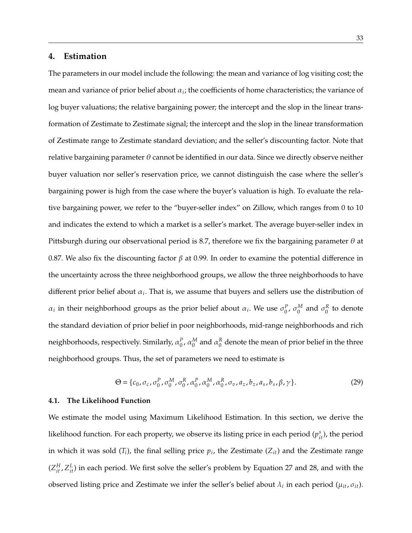## **4. Estimation**

The parameters in our model include the following: the mean and variance of log visiting cost; the mean and variance of prior belief about  $\alpha_i$ ; the coefficients of home characteristics; the variance of log buyer valuations; the relative bargaining power; the intercept and the slop in the linear transformation of Zestimate to Zestimate signal; the intercept and the slop in the linear transformation of Zestimate range to Zestimate standard deviation; and the seller's discounting factor. Note that relative bargaining parameter  $\theta$  cannot be identified in our data. Since we directly observe neither buyer valuation nor seller's reservation price, we cannot distinguish the case where the seller's bargaining power is high from the case where the buyer's valuation is high. To evaluate the relative bargaining power, we refer to the "buyer-seller index" on Zillow, which ranges from 0 to 10 and indicates the extend to which a market is a seller's market. The average buyer-seller index in Pittsburgh during our observational period is 8.7, therefore we fix the bargaining parameter  $\theta$  at 0.87. We also fix the discounting factor  $\beta$  at 0.99. In order to examine the potential difference in the uncertainty across the three neighborhood groups, we allow the three neighborhoods to have different prior belief about  $\alpha_i$ . That is, we assume that buyers and sellers use the distribution of  $\alpha_i$  in their neighborhood groups as the prior belief about  $\alpha_i$ . We use  $\sigma_0^P$ ,  $\sigma_0^M$  and  $\sigma_0^K$  to denote the standard deviation of prior belief in poor neighborhoods, mid-range neighborhoods and rich neighborhoods, respectively. Similarly,  $\alpha_0^P$ ,  $\alpha_0^M$  and  $\alpha_0^\kappa$  denote the mean of prior belief in the three neighborhood groups. Thus, the set of parameters we need to estimate is

$$
\Theta = \{c_0, \sigma_c, \sigma_0^P, \sigma_0^M, \sigma_0^R, \alpha_0^P, \alpha_0^M, \alpha_0^R, \sigma_v, a_z, b_z, a_s, b_s, \beta, \gamma\}.
$$
 (29)

## **4.1. The Likelihood Function**

We estimate the model using Maximum Likelihood Estimation. In this section, we derive the likelihood function. For each property, we observe its listing price in each period  $(p_{it}^s)$ , the period in which it was sold ( $T_i$ ), the final selling price  $p_i$ , the Zestimate ( $Z_{it}$ ) and the Zestimate range  $(Z_{it}^H, Z_{it}^L)$  in each period. We first solve the seller's problem by Equation 27 and 28, and with the observed listing price and Zestimate we infer the seller's belief about  $\lambda_i$  in each period  $(\mu_{it},\sigma_{it})$ .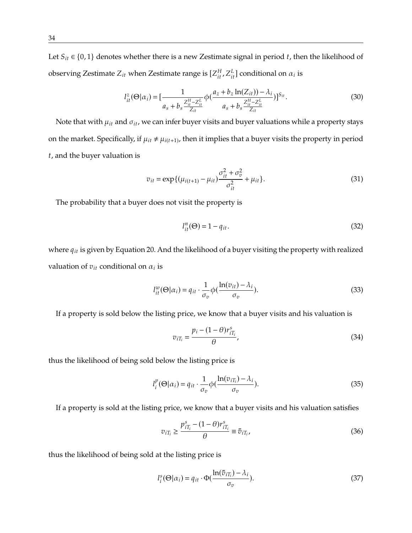Let  $S_{it} \in \{0, 1\}$  denotes whether there is a new Zestimate signal in period t, then the likelihood of observing Zestimate  $Z_{it}$  when Zestimate range is  $[Z_{it}^H, Z_{it}^L]$  conditional on  $\alpha_i$  is

$$
I_{it}^{z}(\Theta|\alpha_{i}) = \left[\frac{1}{a_{s}+b_{s}\frac{Z_{it}^{H}-Z_{it}^{L}}{Z_{it}}}\phi\left(\frac{a_{z}+b_{z}\ln(Z_{it}))-\lambda_{i}}{a_{s}+b_{s}\frac{Z_{it}^{H}-Z_{it}^{L}}{Z_{it}}}\right)\right]^{S_{it}}.
$$
\n(30)

Note that with  $\mu_{it}$  and  $\sigma_{it}$ , we can infer buyer visits and buyer valuations while a property stays on the market. Specifically, if  $\mu_{it} \neq \mu_{i(t+1)}$ , then it implies that a buyer visits the property in period  $t$ , and the buyer valuation is

$$
v_{it} = \exp\{(\mu_{i(t+1)} - \mu_{it})\frac{\sigma_{it}^2 + \sigma_v^2}{\sigma_{it}^2} + \mu_{it}\}.
$$
 (31)

The probability that a buyer does not visit the property is

$$
l_{it}^n(\Theta) = 1 - q_{it}.\tag{32}
$$

where  $q_{it}$  is given by Equation 20. And the likelihood of a buyer visiting the property with realized valuation of  $v_{it}$  conditional on  $\alpha_i$  is

$$
l_{it}^{w}(\Theta|\alpha_{i}) = q_{it} \cdot \frac{1}{\sigma_{v}} \phi(\frac{\ln(v_{it}) - \lambda_{i}}{\sigma_{v}}).
$$
\n(33)

If a property is sold below the listing price, we know that a buyer visits and his valuation is

$$
v_{iT_i} = \frac{p_i - (1 - \theta)r_{iT_i}^s}{\theta},
$$
\n(34)

thus the likelihood of being sold below the listing price is

$$
l_i^p(\Theta|\alpha_i) = q_{it} \cdot \frac{1}{\sigma_v} \phi(\frac{\ln(v_{iT_i}) - \lambda_i}{\sigma_v}).
$$
\n(35)

If a property is sold at the listing price, we know that a buyer visits and his valuation satisfies

$$
v_{iT_i} \ge \frac{p_{iT_i}^s - (1 - \theta)r_{iT_i}^s}{\theta} \equiv \overline{v}_{iT_i},
$$
\n(36)

thus the likelihood of being sold at the listing price is

$$
l_i^s(\Theta|\alpha_i) = q_{it} \cdot \Phi(\frac{\ln(\bar{v}_{iT_i}) - \lambda_i}{\sigma_v}).
$$
\n(37)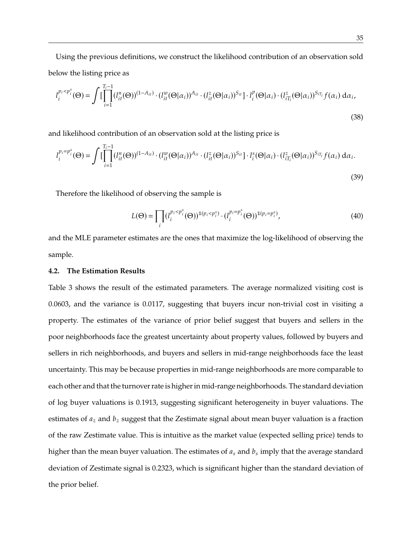Using the previous definitions, we construct the likelihood contribution of an observation sold below the listing price as

$$
l_i^{p_i < p_i^s}(\Theta) = \int \left[ \prod_{i=1}^{T_i - 1} (l_{it}^n(\Theta))^{(1 - A_{it})} \cdot (l_{it}^w(\Theta | \alpha_i))^{A_{it}} \cdot (l_{it}^z(\Theta | \alpha_i))^{S_{it}} \right] \cdot l_i^p(\Theta | \alpha_i) \cdot (l_{iT_i}^z(\Theta | \alpha_i))^{S_{iT_i}} f(\alpha_i) \, d\alpha_i,
$$
\n(38)

and likelihood contribution of an observation sold at the listing price is

$$
l_i^{p_i = p_i^s}(\Theta) = \int \left[ \prod_{i=1}^{T_i - 1} (l_{it}^n(\Theta))^{(1 - A_{it})} \cdot (l_{it}^w(\Theta|\alpha_i))^{A_{it}} \cdot (l_{it}^z(\Theta|\alpha_i))^{S_{it}} \right] \cdot l_i^s(\Theta|\alpha_i) \cdot (l_{iT_i}^z(\Theta|\alpha_i))^{S_{iT_i}} f(\alpha_i) \, d\alpha_i.
$$
\n(39)

Therefore the likelihood of observing the sample is

$$
L(\Theta) = \prod_{i} (l_i^{p_i < p_i^s}(\Theta))^{\mathbb{1}(p_i < p_i^s)} \cdot (l_i^{p_i = p_i^s}(\Theta))^{\mathbb{1}(p_i = p_i^s)},\tag{40}
$$

and the MLE parameter estimates are the ones that maximize the log-likelihood of observing the sample.

## **4.2. The Estimation Results**

Table 3 shows the result of the estimated parameters. The average normalized visiting cost is 0.0603, and the variance is 0.0117, suggesting that buyers incur non-trivial cost in visiting a property. The estimates of the variance of prior belief suggest that buyers and sellers in the poor neighborhoods face the greatest uncertainty about property values, followed by buyers and sellers in rich neighborhoods, and buyers and sellers in mid-range neighborhoods face the least uncertainty. This may be because properties in mid-range neighborhoods are more comparable to each other and that the turnover rate is higher in mid-range neighborhoods. The standard deviation of log buyer valuations is 0.1913, suggesting significant heterogeneity in buyer valuations. The estimates of  $a_z$  and  $b_z$  suggest that the Zestimate signal about mean buyer valuation is a fraction of the raw Zestimate value. This is intuitive as the market value (expected selling price) tends to higher than the mean buyer valuation. The estimates of  $a_s$  and  $b_s$  imply that the average standard deviation of Zestimate signal is 0.2323, which is significant higher than the standard deviation of the prior belief.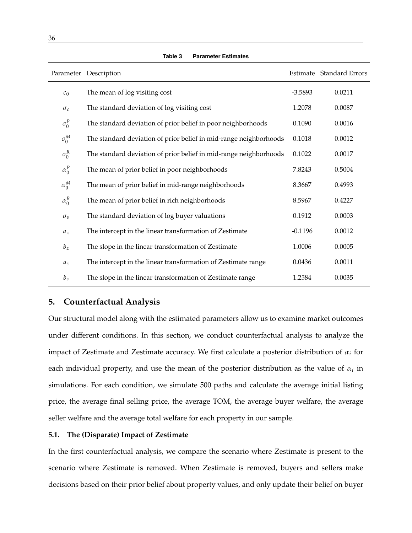|                | Parameter Description                                             |           | Estimate Standard Errors |
|----------------|-------------------------------------------------------------------|-----------|--------------------------|
| $c_0$          | The mean of log visiting cost                                     | $-3.5893$ | 0.0211                   |
| $\sigma_c$     | The standard deviation of log visiting cost                       | 1.2078    | 0.0087                   |
| $\sigma_0^P$   | The standard deviation of prior belief in poor neighborhoods      | 0.1090    | 0.0016                   |
| $\sigma_0^M$   | The standard deviation of prior belief in mid-range neighborhoods | 0.1018    | 0.0012                   |
| $\sigma_0^R$   | The standard deviation of prior belief in mid-range neighborhoods | 0.1022    | 0.0017                   |
| $\alpha_0^P$   | The mean of prior belief in poor neighborhoods                    | 7.8243    | 0.5004                   |
| $\alpha_0^M$   | The mean of prior belief in mid-range neighborhoods               | 8.3667    | 0.4993                   |
| $\alpha_0^R$   | The mean of prior belief in rich neighborhoods                    | 8.5967    | 0.4227                   |
| $\sigma_v$     | The standard deviation of log buyer valuations                    | 0.1912    | 0.0003                   |
| $a_z$          | The intercept in the linear transformation of Zestimate           | $-0.1196$ | 0.0012                   |
| $b_z$          | The slope in the linear transformation of Zestimate               | 1.0006    | 0.0005                   |
| a <sub>s</sub> | The intercept in the linear transformation of Zestimate range     | 0.0436    | 0.0011                   |
| $b_s$          | The slope in the linear transformation of Zestimate range         | 1.2584    | 0.0035                   |

**Table 3 Parameter Estimates**

## **5. Counterfactual Analysis**

Our structural model along with the estimated parameters allow us to examine market outcomes under different conditions. In this section, we conduct counterfactual analysis to analyze the impact of Zestimate and Zestimate accuracy. We first calculate a posterior distribution of  $\alpha_i$  for each individual property, and use the mean of the posterior distribution as the value of  $\alpha_i$  in simulations. For each condition, we simulate 500 paths and calculate the average initial listing price, the average final selling price, the average TOM, the average buyer welfare, the average seller welfare and the average total welfare for each property in our sample.

#### **5.1. The (Disparate) Impact of Zestimate**

In the first counterfactual analysis, we compare the scenario where Zestimate is present to the scenario where Zestimate is removed. When Zestimate is removed, buyers and sellers make decisions based on their prior belief about property values, and only update their belief on buyer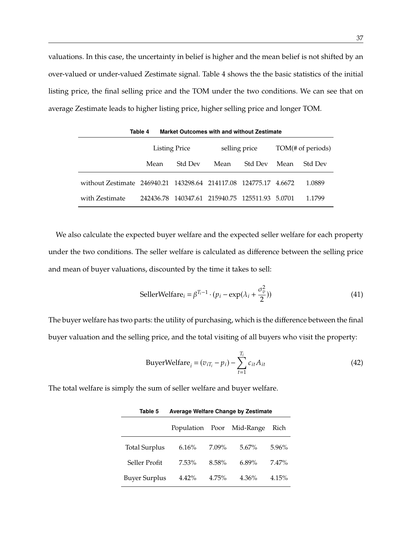valuations. In this case, the uncertainty in belief is higher and the mean belief is not shifted by an over-valued or under-valued Zestimate signal. Table 4 shows the the basic statistics of the initial listing price, the final selling price and the TOM under the two conditions. We can see that on average Zestimate leads to higher listing price, higher selling price and longer TOM.

|                                                                  | <b>Listing Price</b> |                | selling price                                  |         | TOM(# of periods) |                |
|------------------------------------------------------------------|----------------------|----------------|------------------------------------------------|---------|-------------------|----------------|
|                                                                  | Mean                 | <b>Std Dev</b> | Mean                                           | Std Dev | Mean              | <b>Std Dev</b> |
| without Zestimate 246940.21 143298.64 214117.08 124775.17 4.6672 |                      |                |                                                |         |                   | 1.0889         |
| with Zestimate                                                   |                      |                | 242436.78 140347.61 215940.75 125511.93 5.0701 |         |                   | 1.1799         |

**Table 4 Market Outcomes with and without Zestimate**

We also calculate the expected buyer welfare and the expected seller welfare for each property under the two conditions. The seller welfare is calculated as difference between the selling price and mean of buyer valuations, discounted by the time it takes to sell:

$$
\text{SellerWelfare}_{i} = \beta^{T_i - 1} \cdot (p_i - \exp(\lambda_i + \frac{\sigma_v^2}{2})) \tag{41}
$$

The buyer welfare has two parts: the utility of purchasing, which is the difference between the final buyer valuation and the selling price, and the total visiting of all buyers who visit the property:

BuyerWelfare<sub>i</sub> = 
$$
(v_{iT_i} - p_i) - \sum_{t=1}^{T_i} c_{it} A_{it}
$$
\n
$$
(42)
$$

The total welfare is simply the sum of seller welfare and buyer welfare.

|                      |          |          | Population Poor Mid-Range | Rich     |
|----------------------|----------|----------|---------------------------|----------|
| <b>Total Surplus</b> | 6.16%    | $7.09\%$ | $5.67\%$                  | 5.96%    |
| Seller Profit        | $7.53\%$ | 8.58%    | $6.89\%$                  | $7.47\%$ |
| <b>Buyer Surplus</b> | 4.42%    | $4.75\%$ | $4.36\%$                  | 4.15%    |

**Table 5 Average Welfare Change by Zestimate**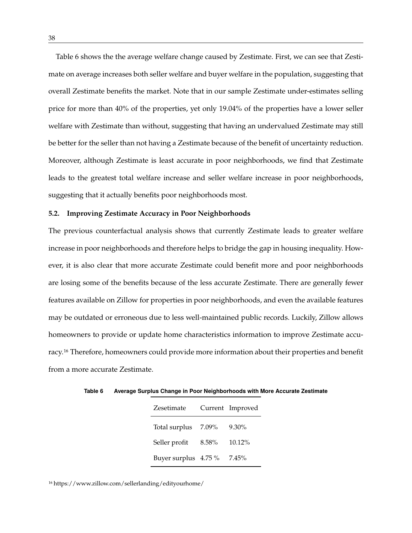Table 6 shows the the average welfare change caused by Zestimate. First, we can see that Zestimate on average increases both seller welfare and buyer welfare in the population, suggesting that overall Zestimate benefits the market. Note that in our sample Zestimate under-estimates selling price for more than 40% of the properties, yet only 19.04% of the properties have a lower seller welfare with Zestimate than without, suggesting that having an undervalued Zestimate may still be better for the seller than not having a Zestimate because of the benefit of uncertainty reduction. Moreover, although Zestimate is least accurate in poor neighborhoods, we find that Zestimate leads to the greatest total welfare increase and seller welfare increase in poor neighborhoods, suggesting that it actually benefits poor neighborhoods most.

## **5.2. Improving Zestimate Accuracy in Poor Neighborhoods**

The previous counterfactual analysis shows that currently Zestimate leads to greater welfare increase in poor neighborhoods and therefore helps to bridge the gap in housing inequality. However, it is also clear that more accurate Zestimate could benefit more and poor neighborhoods are losing some of the benefits because of the less accurate Zestimate. There are generally fewer features available on Zillow for properties in poor neighborhoods, and even the available features may be outdated or erroneous due to less well-maintained public records. Luckily, Zillow allows homeowners to provide or update home characteristics information to improve Zestimate accuracy.16 Therefore, homeowners could provide more information about their properties and benefit from a more accurate Zestimate.

| Zesetimate           |       | Current Improved |
|----------------------|-------|------------------|
| Total surplus        | 7.09% | $9.30\%$         |
| Seller profit        | 8.58% | 10.12%           |
| Buyer surplus 4.75 % |       | 7.45%            |

**Table 6 Average Surplus Change in Poor Neighborhoods with More Accurate Zestimate**

16 https://www.zillow.com/sellerlanding/edityourhome/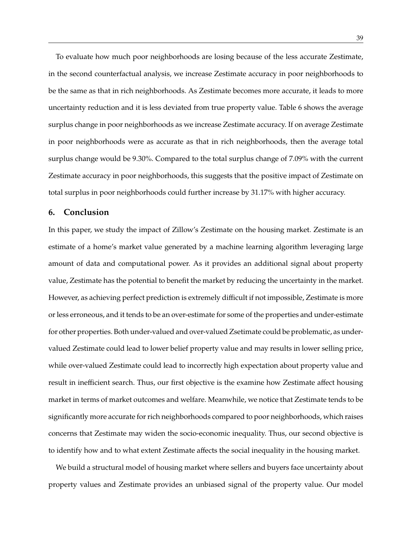To evaluate how much poor neighborhoods are losing because of the less accurate Zestimate, in the second counterfactual analysis, we increase Zestimate accuracy in poor neighborhoods to be the same as that in rich neighborhoods. As Zestimate becomes more accurate, it leads to more uncertainty reduction and it is less deviated from true property value. Table 6 shows the average surplus change in poor neighborhoods as we increase Zestimate accuracy. If on average Zestimate in poor neighborhoods were as accurate as that in rich neighborhoods, then the average total surplus change would be 9.30%. Compared to the total surplus change of 7.09% with the current Zestimate accuracy in poor neighborhoods, this suggests that the positive impact of Zestimate on total surplus in poor neighborhoods could further increase by 31.17% with higher accuracy.

## **6. Conclusion**

In this paper, we study the impact of Zillow's Zestimate on the housing market. Zestimate is an estimate of a home's market value generated by a machine learning algorithm leveraging large amount of data and computational power. As it provides an additional signal about property value, Zestimate has the potential to benefit the market by reducing the uncertainty in the market. However, as achieving perfect prediction is extremely difficult if not impossible, Zestimate is more or less erroneous, and it tends to be an over-estimate for some of the properties and under-estimate for other properties. Both under-valued and over-valued Zsetimate could be problematic, as undervalued Zestimate could lead to lower belief property value and may results in lower selling price, while over-valued Zestimate could lead to incorrectly high expectation about property value and result in inefficient search. Thus, our first objective is the examine how Zestimate affect housing market in terms of market outcomes and welfare. Meanwhile, we notice that Zestimate tends to be significantly more accurate for rich neighborhoods compared to poor neighborhoods, which raises concerns that Zestimate may widen the socio-economic inequality. Thus, our second objective is to identify how and to what extent Zestimate affects the social inequality in the housing market.

We build a structural model of housing market where sellers and buyers face uncertainty about property values and Zestimate provides an unbiased signal of the property value. Our model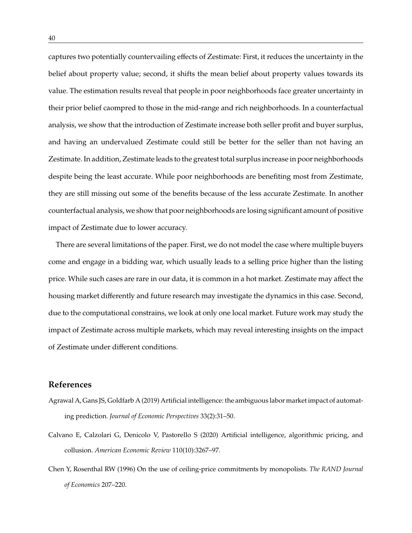captures two potentially countervailing effects of Zestimate: First, it reduces the uncertainty in the belief about property value; second, it shifts the mean belief about property values towards its value. The estimation results reveal that people in poor neighborhoods face greater uncertainty in their prior belief caompred to those in the mid-range and rich neighborhoods. In a counterfactual analysis, we show that the introduction of Zestimate increase both seller profit and buyer surplus, and having an undervalued Zestimate could still be better for the seller than not having an Zestimate. In addition, Zestimate leads to the greatest total surplus increase in poor neighborhoods despite being the least accurate. While poor neighborhoods are benefiting most from Zestimate, they are still missing out some of the benefits because of the less accurate Zestimate. In another counterfactual analysis, we show that poor neighborhoods are losing significant amount of positive impact of Zestimate due to lower accuracy.

There are several limitations of the paper. First, we do not model the case where multiple buyers come and engage in a bidding war, which usually leads to a selling price higher than the listing price. While such cases are rare in our data, it is common in a hot market. Zestimate may affect the housing market differently and future research may investigate the dynamics in this case. Second, due to the computational constrains, we look at only one local market. Future work may study the impact of Zestimate across multiple markets, which may reveal interesting insights on the impact of Zestimate under different conditions.

## **References**

- Agrawal A, Gans JS, Goldfarb A (2019) Artificial intelligence: the ambiguous labor market impact of automating prediction. *Journal of Economic Perspectives* 33(2):31–50.
- Calvano E, Calzolari G, Denicolo V, Pastorello S (2020) Artificial intelligence, algorithmic pricing, and collusion. *American Economic Review* 110(10):3267–97.
- Chen Y, Rosenthal RW (1996) On the use of ceiling-price commitments by monopolists. *The RAND Journal of Economics* 207–220.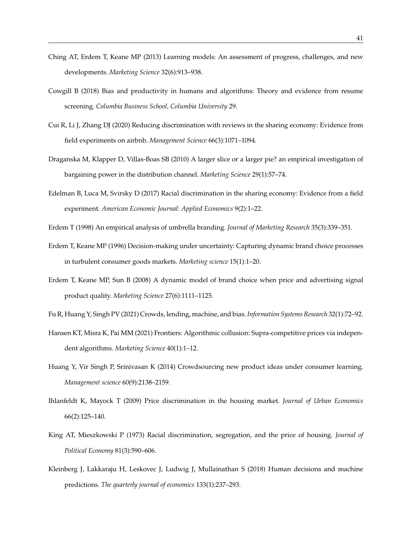- Ching AT, Erdem T, Keane MP (2013) Learning models: An assessment of progress, challenges, and new developments. *Marketing Science* 32(6):913–938.
- Cowgill B (2018) Bias and productivity in humans and algorithms: Theory and evidence from resume screening. *Columbia Business School, Columbia University* 29.
- Cui R, Li J, Zhang DJ (2020) Reducing discrimination with reviews in the sharing economy: Evidence from field experiments on airbnb. *Management Science* 66(3):1071–1094.
- Draganska M, Klapper D, Villas-Boas SB (2010) A larger slice or a larger pie? an empirical investigation of bargaining power in the distribution channel. *Marketing Science* 29(1):57–74.
- Edelman B, Luca M, Svirsky D (2017) Racial discrimination in the sharing economy: Evidence from a field experiment. *American Economic Journal: Applied Economics* 9(2):1–22.
- Erdem T (1998) An empirical analysis of umbrella branding. *Journal of Marketing Research* 35(3):339–351.
- Erdem T, Keane MP (1996) Decision-making under uncertainty: Capturing dynamic brand choice processes in turbulent consumer goods markets. *Marketing science* 15(1):1–20.
- Erdem T, Keane MP, Sun B (2008) A dynamic model of brand choice when price and advertising signal product quality. *Marketing Science* 27(6):1111–1125.
- Fu R, Huang Y, Singh PV (2021) Crowds, lending, machine, and bias. *Information Systems Research* 32(1):72–92.
- Hansen KT, Misra K, Pai MM (2021) Frontiers: Algorithmic collusion: Supra-competitive prices via independent algorithms. *Marketing Science* 40(1):1–12.
- Huang Y, Vir Singh P, Srinivasan K (2014) Crowdsourcing new product ideas under consumer learning. *Management science* 60(9):2138–2159.
- Ihlanfeldt K, Mayock T (2009) Price discrimination in the housing market. *Journal of Urban Economics* 66(2):125–140.
- King AT, Mieszkowski P (1973) Racial discrimination, segregation, and the price of housing. *Journal of Political Economy* 81(3):590–606.
- Kleinberg J, Lakkaraju H, Leskovec J, Ludwig J, Mullainathan S (2018) Human decisions and machine predictions. *The quarterly journal of economics* 133(1):237–293.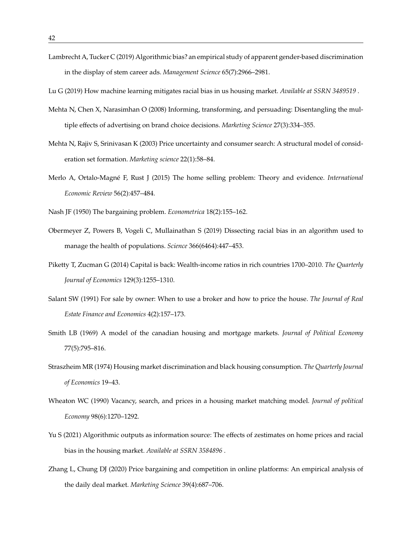Lambrecht A, Tucker C (2019) Algorithmic bias? an empirical study of apparent gender-based discrimination in the display of stem career ads. *Management Science* 65(7):2966–2981.

Lu G (2019) How machine learning mitigates racial bias in us housing market. *Available at SSRN 3489519* .

- Mehta N, Chen X, Narasimhan O (2008) Informing, transforming, and persuading: Disentangling the multiple effects of advertising on brand choice decisions. *Marketing Science* 27(3):334–355.
- Mehta N, Rajiv S, Srinivasan K (2003) Price uncertainty and consumer search: A structural model of consideration set formation. *Marketing science* 22(1):58–84.
- Merlo A, Ortalo-Magné F, Rust J (2015) The home selling problem: Theory and evidence. *International Economic Review* 56(2):457–484.
- Nash JF (1950) The bargaining problem. *Econometrica* 18(2):155–162.
- Obermeyer Z, Powers B, Vogeli C, Mullainathan S (2019) Dissecting racial bias in an algorithm used to manage the health of populations. *Science* 366(6464):447–453.
- Piketty T, Zucman G (2014) Capital is back: Wealth-income ratios in rich countries 1700–2010. *The Quarterly Journal of Economics* 129(3):1255–1310.
- Salant SW (1991) For sale by owner: When to use a broker and how to price the house. *The Journal of Real Estate Finance and Economics* 4(2):157–173.
- Smith LB (1969) A model of the canadian housing and mortgage markets. *Journal of Political Economy* 77(5):795–816.
- Straszheim MR (1974) Housing market discrimination and black housing consumption. *The Quarterly Journal of Economics* 19–43.
- Wheaton WC (1990) Vacancy, search, and prices in a housing market matching model. *Journal of political Economy* 98(6):1270–1292.
- Yu S (2021) Algorithmic outputs as information source: The effects of zestimates on home prices and racial bias in the housing market. *Available at SSRN 3584896* .
- Zhang L, Chung DJ (2020) Price bargaining and competition in online platforms: An empirical analysis of the daily deal market. *Marketing Science* 39(4):687–706.